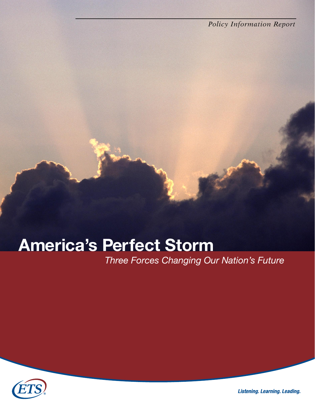*Policy Information Report*

# America's Perfect Storm

*Three Forces Changing Our Nation's Future*



**Listening. Learning. Leading.**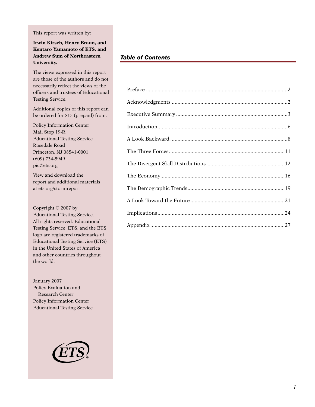This report was written by:

**Irwin Kirsch, Henry Braun, and Kentaro Yamamoto of ETS, and Andrew Sum of Northeastern University.**

The views expressed in this report are those of the authors and do not necessarily reflect the views of the officers and trustees of Educational Testing Service.

Additional copies of this report can be ordered for \$15 (prepaid) from:

Policy Information Center Mail Stop 19-R Educational Testing Service Rosedale Road Princeton, NJ 08541-0001 (609) 734-5949 pic@ets.org

View and download the report and additional materials at ets.org/stormreport

Copyright © 2007 by Educational Testing Service. All rights reserved. Educational Testing Service, ETS, and the ETS logo are registered trademarks of Educational Testing Service (ETS) in the United States of America and other countries throughout the world.

January 2007 Policy Evaluation and Research Center Policy Information Center Educational Testing Service



# *Table of Contents*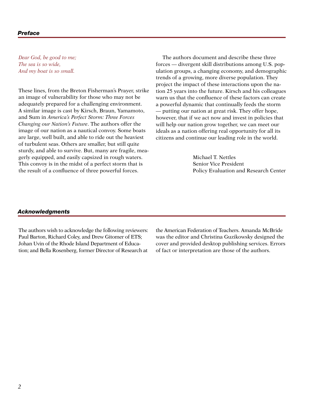#### *Preface*

*Dear God, be good to me; The sea is so wide, And my boat is so small.*

These lines, from the Breton Fisherman's Prayer, strike an image of vulnerability for those who may not be adequately prepared for a challenging environment. A similar image is cast by Kirsch, Braun, Yamamoto, and Sum in *America's Perfect Storm: Three Forces Changing our Nation's Future*. The authors offer the image of our nation as a nautical convoy. Some boats are large, well built, and able to ride out the heaviest of turbulent seas. Others are smaller, but still quite sturdy, and able to survive. But, many are fragile, meagerly equipped, and easily capsized in rough waters. This convoy is in the midst of a perfect storm that is the result of a confluence of three powerful forces.

The authors document and describe these three forces — divergent skill distributions among U.S. population groups, a changing economy, and demographic trends of a growing, more diverse population. They project the impact of these interactions upon the nation 25 years into the future. Kirsch and his colleagues warn us that the confluence of these factors can create a powerful dynamic that continually feeds the storm — putting our nation at great risk. They offer hope, however, that if we act now and invest in policies that will help our nation grow together, we can meet our ideals as a nation offering real opportunity for all its citizens and continue our leading role in the world.

> Michael T. Nettles Senior Vice President Policy Evaluation and Research Center

#### *Acknowledgments*

The authors wish to acknowledge the following reviewers: Paul Barton, Richard Coley, and Drew Gitomer of ETS; Johan Uvin of the Rhode Island Department of Education; and Bella Rosenberg, former Director of Research at

the American Federation of Teachers. Amanda McBride was the editor and Christina Guzikowsky designed the cover and provided desktop publishing services. Errors of fact or interpretation are those of the authors.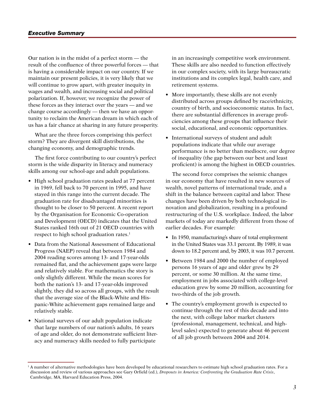Our nation is in the midst of a perfect storm — the result of the confluence of three powerful forces — that is having a considerable impact on our country. If we maintain our present policies, it is very likely that we will continue to grow apart, with greater inequity in wages and wealth, and increasing social and political polarization. If, however, we recognize the power of these forces as they interact over the years — and we change course accordingly — then we have an opportunity to reclaim the American dream in which each of us has a fair chance at sharing in any future prosperity.

What are the three forces comprising this perfect storm? They are divergent skill distributions, the changing economy, and demographic trends.

The first force contributing to our country's perfect storm is the wide disparity in literacy and numeracy skills among our school-age and adult populations.

- High school graduation rates peaked at 77 percent in 1969, fell back to 70 percent in 1995, and have stayed in this range into the current decade. The graduation rate for disadvantaged minorities is thought to be closer to 50 percent. A recent report by the Organisation for Economic Co-operation and Development (OECD) indicates that the United States ranked 16th out of 21 OECD countries with respect to high school graduation rates.<sup>1</sup>
- Data from the National Assessment of Educational Progress (NAEP) reveal that between 1984 and 2004 reading scores among 13- and 17-year-olds remained flat, and the achievement gaps were large and relatively stable. For mathematics the story is only slightly different. While the mean scores for both the nation's 13- and 17-year-olds improved slightly, they did so across all groups, with the result that the average size of the Black-White and Hispanic-White achievement gaps remained large and relatively stable.
- National surveys of our adult population indicate that large numbers of our nation's adults, 16 years of age and older, do not demonstrate sufficient literacy and numeracy skills needed to fully participate

in an increasingly competitive work environment. These skills are also needed to function effectively in our complex society, with its large bureaucratic institutions and its complex legal, health care, and retirement systems.

- More importantly, these skills are not evenly distributed across groups defined by race/ethnicity, country of birth, and socioeconomic status. In fact, there are substantial differences in average proficiencies among these groups that influence their social, educational, and economic opportunities.
- International surveys of student and adult populations indicate that while our average performance is no better than mediocre, our degree of inequality (the gap between our best and least proficient) is among the highest in OECD countries.

The second force comprises the seismic changes in our economy that have resulted in new sources of wealth, novel patterns of international trade, and a shift in the balance between capital and labor. These changes have been driven by both technological innovation and globalization, resulting in a profound restructuring of the U.S. workplace. Indeed, the labor markets of today are markedly different from those of earlier decades. For example:

- In 1950, manufacturing's share of total employment in the United States was 33.1 percent. By 1989, it was down to 18.2 percent and, by 2003, it was 10.7 percent.
- Between 1984 and 2000 the number of employed persons 16 years of age and older grew by 29 percent, or some 30 million. At the same time, employment in jobs associated with college-level education grew by some 20 million, accounting for two-thirds of the job growth.
- The country's employment growth is expected to continue through the rest of this decade and into the next, with college labor market clusters (professional, management, technical, and highlevel sales) expected to generate about 46 percent of all job growth between 2004 and 2014.

<sup>&</sup>lt;sup>1</sup> A number of alternative methodologies have been developed by educational researchers to estimate high school graduation rates. For a discussion and review of various approaches see Gary Orfield (ed.), *Dropouts in America: Confronting the Graduation Rate Crisis*, Cambridge, MA, Harvard Education Press, 2004.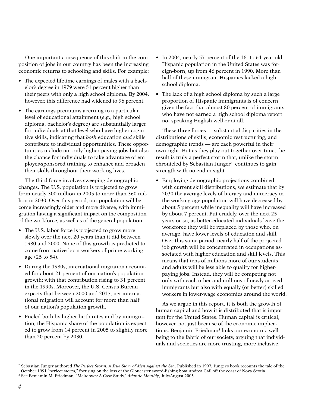One important consequence of this shift in the composition of jobs in our country has been the increasing economic returns to schooling and skills. For example:

- The expected lifetime earnings of males with a bachelor's degree in 1979 were 51 percent higher than their peers with only a high school diploma. By 2004, however, this difference had widened to 96 percent.
- The earnings premiums accruing to a particular level of educational attainment (e.g., high school diploma, bachelor's degree) are substantially larger for individuals at that level who have higher cognitive skills, indicating that *both* education *and* skills contribute to individual opportunities. These opportunities include not only higher paying jobs but also the chance for individuals to take advantage of employer-sponsored training to enhance and broaden their skills throughout their working lives.

The third force involves sweeping demographic changes. The U.S. population is projected to grow from nearly 300 million in 2005 to more than 360 million in 2030. Over this period, our population will become increasingly older and more diverse, with immigration having a significant impact on the composition of the workforce, as well as of the general population.

- The U.S. labor force is projected to grow more slowly over the next 20 years than it did between 1980 and 2000. None of this growth is predicted to come from native-born workers of prime working age (25 to 54).
- During the 1980s, international migration accounted for about 21 percent of our nation's population growth; with that contribution rising to 31 percent in the 1990s. Moreover, the U.S. Census Bureau expects that between 2000 and 2015, net international migration will account for more than half of our nation's population growth.
- Fueled both by higher birth rates and by immigration, the Hispanic share of the population is expected to grow from 14 percent in 2005 to slightly more than 20 percent by 2030.
- In 2004, nearly 57 percent of the 16- to 64-year-old Hispanic population in the United States was foreign-born, up from 46 percent in 1990. More than half of these immigrant Hispanics lacked a high school diploma.
- The lack of a high school diploma by such a large proportion of Hispanic immigrants is of concern given the fact that almost 80 percent of immigrants who have not earned a high school diploma report not speaking English well or at all.

These three forces — substantial disparities in the distributions of skills, economic restructuring, and demographic trends — are each powerful in their own right. But as they play out together over time, the result is truly a perfect storm that, unlike the storm chronicled by Sebastian Junger<sup>2</sup>, continues to gain strength with no end in sight.

• Employing demographic projections combined with current skill distributions, we estimate that by 2030 the average levels of literacy and numeracy in the working-age population will have decreased by about 5 percent while inequality will have increased by about 7 percent. Put crudely, over the next 25 years or so, as better-educated individuals leave the workforce they will be replaced by those who, on average, have lower levels of education and skill. Over this same period, nearly half of the projected job growth will be concentrated in occupations associated with higher education and skill levels. This means that tens of millions more of our students and adults will be less able to qualify for higherpaying jobs. Instead, they will be competing not only with each other and millions of newly arrived immigrants but also with equally (or better) skilled workers in lower-wage economies around the world.

As we argue in this report, it is both the growth of human capital and how it is distributed that is important for the United States. Human capital is critical, however, not just because of the economic implications. Benjamin Friedman<sup>3</sup> links our economic wellbeing to the fabric of our society, arguing that individuals and societies are more trusting, more inclusive,

<sup>2</sup> Sebastian Junger authored *The Perfect Storm: A True Story of Men Against the Sea*. Published in 1997, Junger's book recounts the tale of the October 1991 "perfect storm," focusing on the loss of the Gloucester sword-fishing boat Andrea Gail off the coast of Nova Scotia. <sup>3</sup> See Benjamin M. Friedman, "Meltdown: A Case Study," *Atlantic Monthly*, July/August 2005.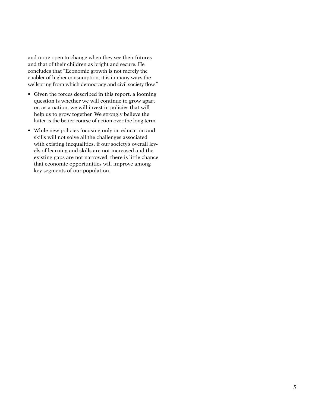and more open to change when they see their futures and that of their children as bright and secure. He concludes that "Economic growth is not merely the enabler of higher consumption; it is in many ways the wellspring from which democracy and civil society flow."

- Given the forces described in this report, a looming question is whether we will continue to grow apart or, as a nation, we will invest in policies that will help us to grow together. We strongly believe the latter is the better course of action over the long term.
- While new policies focusing only on education and skills will not solve all the challenges associated with existing inequalities, if our society's overall levels of learning and skills are not increased and the existing gaps are not narrowed, there is little chance that economic opportunities will improve among key segments of our population.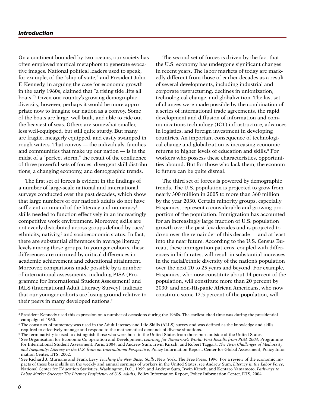On a continent bounded by two oceans, our society has often employed nautical metaphors to generate evocative images. National political leaders used to speak, for example, of the "ship of state," and President John F. Kennedy, in arguing the case for economic growth in the early 1960s, claimed that "a rising tide lifts all boats."4 Given our country's growing demographic diversity, however, perhaps it would be more appropriate now to imagine our nation as a convoy. Some of the boats are large, well built, and able to ride out the heaviest of seas. Others are somewhat smaller, less well-equipped, but still quite sturdy. But many are fragile, meagerly equipped, and easily swamped in rough waters. That convoy — the individuals, families and communities that make up our nation — is in the midst of a "perfect storm," the result of the confluence of three powerful sets of forces: divergent skill distributions, a changing economy, and demographic trends.

The first set of forces is evident in the findings of a number of large-scale national and international surveys conducted over the past decades, which show that large numbers of our nation's adults do not have sufficient command of the literacy and numeracy<sup>5</sup> skills needed to function effectively in an increasingly competitive work environment. Moreover, skills are not evenly distributed across groups defined by race/ ethnicity, nativity,<sup>6</sup> and socioeconomic status. In fact, there are substantial differences in average literacy levels among these groups. In younger cohorts, these differences are mirrored by critical differences in academic achievement and educational attainment. Moreover, comparisons made possible by a number of international assessments, including PISA (Programme for International Student Assessment) and IALS (International Adult Literacy Survey), indicate that our younger cohorts are losing ground relative to their peers in many developed nations.7

The second set of forces is driven by the fact that the U.S. economy has undergone significant changes in recent years. The labor markets of today are markedly different from those of earlier decades as a result of several developments, including industrial and corporate restructuring, declines in unionization, technological change, and globalization. The last set of changes were made possible by the combination of a series of international trade agreements, the rapid development and diffusion of information and communications technology (ICT) infrastructure, advances in logistics, and foreign investment in developing countries. An important consequence of technological change and globalization is increasing economic returns to higher levels of education and skills.<sup>8</sup> For workers who possess these characteristics, opportunities abound. But for those who lack them, the economic future can be quite dismal.

The third set of forces is powered by demographic trends. The U.S. population is projected to grow from nearly 300 million in 2005 to more than 360 million by the year 2030. Certain minority groups, especially Hispanics, represent a considerable and growing proportion of the population. Immigration has accounted for an increasingly large fraction of U.S. population growth over the past few decades and is projected to do so over the remainder of this decade — and at least into the near future. According to the U.S. Census Bureau, these immigration patterns, coupled with differences in birth rates, will result in substantial increases in the racial/ethnic diversity of the nation's population over the next 20 to 25 years and beyond. For example, Hispanics, who now constitute about 14 percent of the population, will constitute more than 20 percent by 2030; and non-Hispanic African Americans, who now constitute some 12.5 percent of the population, will

<sup>4</sup> President Kennedy used this expression on a number of occasions during the 1960s. The earliest cited time was during the presidential campaign of 1960.

 $^5$  The construct of numeracy was used in the Adult Literacy and Life Skills (ALLS) survey and was defined as the knowledge and skills required to effectively manage and respond to the mathematical demands of diverse situations.

<sup>6</sup> The term nativity is used to distinguish those who were born in the United States from those born outside of the United States.

<sup>7</sup> See Organisation for Economic Co-operation and Development, *Learning for Tomorrow's World: First Results from PISA 2003*, Programme for International Student Assessment, Paris, 2004, and Andrew Sum, Irwin Kirsch, and Robert Taggart, *The Twin Challenges of Mediocrity and Inequality: Literacy in the U.S. from an International Perspective*, Policy Information Report, Center for Global Assessment, Policy Information Center, ETS, 2002.

<sup>&</sup>lt;sup>8</sup> See Richard J. Murnane and Frank Levy, *Teaching the New Basic Skills*, New York, The Free Press, 1996. For a review of the economic impacts of these basic skills on the weekly and annual earnings of workers in the United States, see Andrew Sum, *Literacy in the Labor Force*, National Center for Education Statistics, Washington, D.C., 1999, and Andrew Sum, Irwin Kirsch, and Kentaro Yamamoto, *Pathways to Labor Market Success: The Literacy Proficiency of U.S. Adults*, Policy Information Report, Policy Information Center, ETS, 2004.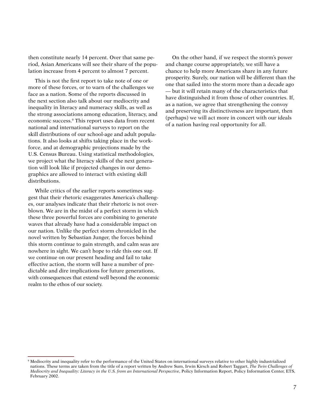then constitute nearly 14 percent. Over that same period, Asian Americans will see their share of the population increase from 4 percent to almost 7 percent.

This is not the first report to take note of one or more of these forces, or to warn of the challenges we face as a nation. Some of the reports discussed in the next section also talk about our mediocrity and inequality in literacy and numeracy skills, as well as the strong associations among education, literacy, and economic success.9 This report uses data from recent national and international surveys to report on the skill distributions of our school-age and adult populations. It also looks at shifts taking place in the workforce, and at demographic projections made by the U.S. Census Bureau. Using statistical methodologies, we project what the literacy skills of the next generation will look like if projected changes in our demographics are allowed to interact with existing skill distributions.

While critics of the earlier reports sometimes suggest that their rhetoric exaggerates America's challenges, our analyses indicate that their rhetoric is not overblown. We are in the midst of a perfect storm in which these three powerful forces are combining to generate waves that already have had a considerable impact on our nation. Unlike the perfect storm chronicled in the novel written by Sebastian Junger, the forces behind this storm continue to gain strength, and calm seas are nowhere in sight. We can't hope to ride this one out. If we continue on our present heading and fail to take effective action, the storm will have a number of predictable and dire implications for future generations, with consequences that extend well beyond the economic realm to the ethos of our society.

On the other hand, if we respect the storm's power and change course appropriately, we still have a chance to help more Americans share in any future prosperity. Surely, our nation will be different than the one that sailed into the storm more than a decade ago — but it will retain many of the characteristics that have distinguished it from those of other countries. If, as a nation, we agree that strengthening the convoy and preserving its distinctiveness are important, then (perhaps) we will act more in concert with our ideals of a nation having real opportunity for all.

<sup>9</sup> Mediocrity and inequality refer to the performance of the United States on international surveys relative to other highly industrialized nations. These terms are taken from the title of a report written by Andrew Sum, Irwin Kirsch and Robert Taggart, *The Twin Challenges of Mediocrity and Inequality: Literacy in the U.S. from an International Perspective*, Policy Information Report, Policy Information Center, ETS, February 2002.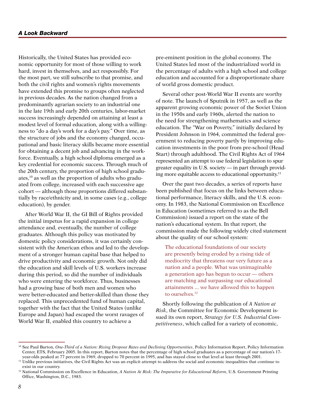Historically, the United States has provided economic opportunity for most of those willing to work hard, invest in themselves, and act responsibly. For the most part, we still subscribe to that promise, and both the civil rights and women's rights movements have extended this promise to groups often neglected in previous decades. As the nation changed from a predominantly agrarian society to an industrial one in the late 19th and early 20th centuries, labor-market success increasingly depended on attaining at least a modest level of formal education, along with a willingness to "do a day's work for a day's pay." Over time, as the structure of jobs and the economy changed, occupational and basic literacy skills became more essential for obtaining a decent job and advancing in the workforce. Eventually, a high school diploma emerged as a key credential for economic success. Through much of the 20th century, the proportion of high school graduates,10 as well as the proportion of adults who graduated from college, increased with each successive age cohort — although those proportions differed substantially by race/ethnicity and, in some cases (e.g., college education), by gender.

After World War II, the GI Bill of Rights provided the initial impetus for a rapid expansion in college attendance and, eventually, the number of college graduates. Although this policy was motivated by domestic policy considerations, it was certainly consistent with the American ethos and led to the development of a stronger human capital base that helped to drive productivity and economic growth. Not only did the education and skill levels of U.S. workers increase during this period, so did the number of individuals who were entering the workforce. Thus, businesses had a growing base of both men and women who were better-educated and better-skilled than those they replaced. This unprecedented fund of human capital, together with the fact that the United States (unlike Europe and Japan) had escaped the worst ravages of World War II, enabled this country to achieve a

pre-eminent position in the global economy. The United States led most of the industrialized world in the percentage of adults with a high school and college education and accounted for a disproportionate share of world gross domestic product.

Several other post-World War II events are worthy of note. The launch of Sputnik in 1957, as well as the apparent growing economic power of the Soviet Union in the 1950s and early 1960s, alerted the nation to the need for strengthening mathematics and science education. The "War on Poverty," initially declared by President Johnson in 1964, committed the federal government to reducing poverty partly by improving education investments in the poor from pre-school (Head Start) through adulthood. The Civil Rights Act of 1964 represented an attempt to use federal legislation to spur greater equality in U.S. society — in part through providing more equitable access to educational opportunity.11

Over the past two decades, a series of reports have been published that focus on the links between educational performance, literacy skills, and the U.S. economy. In 1983, the National Commission on Excellence in Education (sometimes referred to as the Bell Commission) issued a report on the state of the nation's educational system. In that report, the commission made the following widely cited statement about the quality of our school system:

The educational foundations of our society are presently being eroded by a rising tide of mediocrity that threatens our very future as a nation and a people. What was unimaginable a generation ago has begun to occur — others are matching and surpassing our educational attainments ... we have allowed this to happen to ourselves.<sup>12</sup>

Shortly following the publication of *A Nation at Risk*, the Committee for Economic Development issued its own report, *Strategy for U.S. Industrial Competitiveness*, which called for a variety of economic,

<sup>10</sup> See Paul Barton, *One-Third of a Nation: Rising Dropout Rates and Declining Opportunities*, Policy Information Report, Policy Information Center, ETS, February 2005. In this report, Barton notes that the percentage of high school graduates as a percentage of our nation's 17 year-olds peaked at 77 percent in 1969, dropped to 70 percent in 1995, and has stayed close to that level at least through 2001.

<sup>&</sup>lt;sup>11</sup> Unlike previous initiatives, the Civil Rights Act was an explicit attempt to address the social and economic inequalities that continue to exist in our country.

<sup>12</sup> National Commission on Excellence in Education, *A Nation At Risk: The Imperative for Educational Reform*, U.S. Government Printing Office, Washington, D.C., 1983.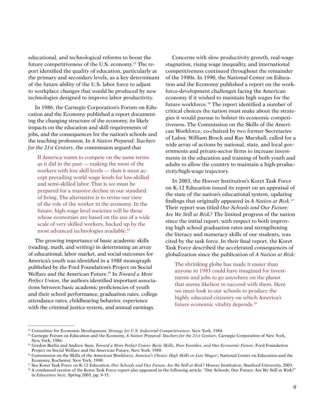educational, and technological reforms to boost the future competitiveness of the U.S. economy.13 The report identified the quality of education, particularly at the primary and secondary levels, as a key determinant of the future ability of the U.S. labor force to adjust to workplace changes that would be produced by new technologies designed to improve labor productivity.

In 1986, the Carnegie Corporation's Forum on Education and the Economy published a report documenting the changing structure of the economy, its likely impacts on the education and skill requirements of jobs, and the consequences for the nation's schools and the teaching profession. In *A Nation Prepared: Teachers for the 21st Century*, the commission argued that

If America wants to compete on the same terms as it did in the past — making the most of the workers with low skill levels — then it must accept prevailing world wage levels for low-skilled and semi-skilled labor. That is we must be prepared for a massive decline in our standard of living. The alternative is to revise our view of the role of the worker in the economy. In the future, high-wage level societies will be those whose economies are based on the use of a wide scale of very skilled workers, backed up by the most advanced technologies available.14

The growing importance of basic academic skills (reading, math, and writing) in determining an array of educational, labor market, and social outcomes for America's youth was identified in a 1988 monograph published by the Ford Foundation's Project on Social Welfare and the American Future.15 In *Toward a More Perfect Union*, the authors identified important associations between basic academic proficiencies of youth and their school performance, graduation rates, college attendance rates, childbearing behavior, experience with the criminal justice system, and annual earnings.

Concerns with slow productivity growth, real-wage stagnation, rising wage inequality, and international competitiveness continued throughout the remainder of the 1980s. In 1990, the National Center on Education and the Economy published a report on the workforce-development challenges facing the American economy if it wished to maintain high wages for the future workforce.16 The report identified a number of critical choices the nation must make about the strategies it would pursue to bolster its economic competitiveness. The Commission on the Skills of the American Workforce, co-chaired by two former Secretaries of Labor, William Brock and Ray Marshall, called for a wide array of actions by national, state, and local governments and private-sector firms to increase investments in the education and training of both youth and adults to allow the country to maintain a high-productivity/high-wage trajectory.

In 2003, the Hoover Institution's Koret Task Force on K-12 Education issued its report on an appraisal of the state of the nation's educational system, updating findings that originally appeared in *A Nation at Risk*. 17 Their report was titled *Our Schools and Our Future: Are We Still at Risk?* The limited progress of the nation since the initial report, with respect to both improving high school graduation rates and strengthening the literacy and numeracy skills of our students, was cited by the task force. In their final report, the Koret Task Force described the accelerated consequences of globalization since the publication of *A Nation at Risk:*

The shrinking globe has made it easier than anyone in 1983 could have imagined for investments and jobs to go anywhere on the planet that seems likeliest to succeed with them. Here we must look to our schools to produce the highly educated citizenry on which America's future economic vitality depends.18

<sup>13</sup> Committee for Economic Development, *Strategy for U.S. Industrial Competitiveness*, New York, 1984.

<sup>14</sup> Carnegie Forum on Education and the Economy, *A Nation Prepared: Teachers for the 21st Century*, Carnegie Corporation of New York, New York, 1986.

<sup>&</sup>lt;sup>15</sup> Gordon Berlin and Andrew Sum, *Toward a More Perfect Union: Basic Skills, Poor Families, and Our Economic Future*, Ford Foundation Project on Social Welfare and the American Future, New York, 1988.

<sup>16</sup> Commission on the Skills of the American Workforce, *America's Choice: High Skills or Low Wages!*, National Center on Education and the Economy, Rochester, New York, 1990.

<sup>17</sup> See Koret Task Force on K-12 Education, *Our Schools and Our Future: Are We Still at Risk?* Hoover Institution, Stanford University, 2003.

<sup>&</sup>lt;sup>18</sup> A condensed version of the Koret Task Force report also appeared in the following article: "Our Schools, Our Future: Are We Still at Risk?" in *Education Next*, Spring 2003, pp. 9-15.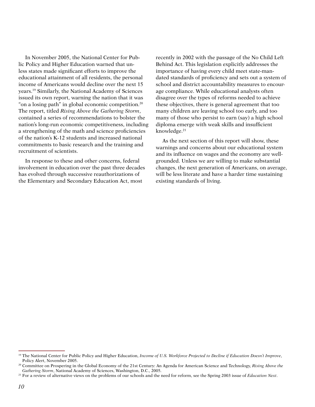In November 2005, the National Center for Public Policy and Higher Education warned that unless states made significant efforts to improve the educational attainment of all residents, the personal income of Americans would decline over the next 15 years.19 Similarly, the National Academy of Sciences issued its own report, warning the nation that it was "on a losing path" in global economic competition.<sup>20</sup> The report, titled *Rising Above the Gathering Storm*, contained a series of recommendations to bolster the nation's long-run economic competitiveness, including a strengthening of the math and science proficiencies of the nation's K-12 students and increased national commitments to basic research and the training and recruitment of scientists.

In response to these and other concerns, federal involvement in education over the past three decades has evolved through successive reauthorizations of the Elementary and Secondary Education Act, most

recently in 2002 with the passage of the No Child Left Behind Act. This legislation explicitly addresses the importance of having every child meet state-mandated standards of proficiency and sets out a system of school and district accountability measures to encourage compliance. While educational analysts often disagree over the types of reforms needed to achieve these objectives, there is general agreement that too many children are leaving school too early, and too many of those who persist to earn (say) a high school diploma emerge with weak skills and insufficient knowledge.<sup>21</sup>

As the next section of this report will show, these warnings and concerns about our educational system and its influence on wages and the economy are wellgrounded. Unless we are willing to make substantial changes, the next generation of Americans, on average, will be less literate and have a harder time sustaining existing standards of living.

<sup>&</sup>lt;sup>19</sup> The National Center for Public Policy and Higher Education, *Income of U.S. Workforce Projected to Decline if Education Doesn't Improve*, Policy Alert, November 2005.

<sup>20</sup> Committee on Prospering in the Global Economy of the 21st Century: An Agenda for American Science and Technology, *Rising Above the Gathering Storm*, National Academy of Sciences, Washington, D.C., 2005.

<sup>21</sup> For a review of alternative views on the problems of our schools and the need for reform, see the Spring 2003 issue of *Education Next*.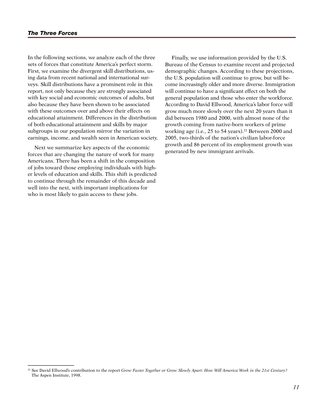In the following sections, we analyze each of the three sets of forces that constitute America's perfect storm. First, we examine the divergent skill distributions, using data from recent national and international surveys. Skill distributions have a prominent role in this report, not only because they are strongly associated with key social and economic outcomes of adults, but also because they have been shown to be associated with these outcomes over and above their effects on educational attainment. Differences in the distribution of both educational attainment and skills by major subgroups in our population mirror the variation in earnings, income, and wealth seen in American society.

Next we summarize key aspects of the economic forces that are changing the nature of work for many Americans. There has been a shift in the composition of jobs toward those employing individuals with higher levels of education and skills. This shift is predicted to continue through the remainder of this decade and well into the next, with important implications for who is most likely to gain access to these jobs.

Finally, we use information provided by the U.S. Bureau of the Census to examine recent and projected demographic changes. According to these projections, the U.S. population will continue to grow, but will become increasingly older and more diverse. Immigration will continue to have a significant effect on both the general population and those who enter the workforce. According to David Ellwood, America's labor force will grow much more slowly over the next 20 years than it did between 1980 and 2000, with almost none of the growth coming from native-born workers of prime working age (i.e.,  $25$  to 54 years).<sup>22</sup> Between 2000 and 2005, two-thirds of the nation's civilian labor-force growth and 86 percent of its employment growth was generated by new immigrant arrivals.

<sup>&</sup>lt;sup>22</sup> See David Ellwood's contribution to the report *Grow Faster Together or Grow Slowly Apart: How Will America Work in the 21st Century?* The Aspen Institute, 1998.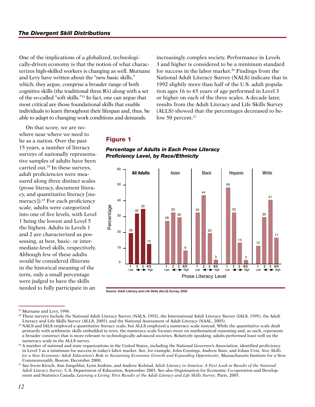One of the implications of a globalized, technologically-driven economy is that the notion of what characterizes high-skilled workers is changing as well. Murnane and Levy have written about the "new basic skills," which, they argue, comprise a broader range of both cognitive skills (the traditional three R's) along with a set of the so-called "soft skills."23 In fact, one can argue that most critical are those foundational skills that enable individuals to learn throughout their lifespan and, thus, be able to adapt to changing work conditions and demands.

increasingly complex society. Performance in Levels 3 and higher is considered to be a minimum standard for success in the labor market.<sup>26</sup> Findings from the National Adult Literacy Survey (NALS) indicate that in 1992 slightly more than half of the U.S. adult population ages 16 to 65 years of age performed in Level 3 or higher on each of the three scales. A decade later, results from the Adult Literacy and Life Skills Survey (ALLS) showed that the percentages decreased to below 50 percent. $27$ 

On that score, we are nowhere near where we need to be as a nation. Over the past 15 years, a number of literacy surveys of nationally representative samples of adults have been carried out.<sup>24</sup> In these surveys, adult proficiencies were measured along three distinct scales (prose literacy, document literacy, and quantitative literacy [numeracy]).<sup>25</sup> For each proficiency scale, adults were categorized into one of five levels, with Level 1 being the lowest and Level 5 the highest. Adults in Levels 1 and 2 are characterized as possessing, at best, basic- or intermediate-level skills, respectively. Although few of these adults would be considered illiterate in the historical meaning of the term, only a small percentage were judged to have the skills needed to fully participate in an

# Figure 1





<sup>23</sup> Murnane and Levy, 1996.

<sup>&</sup>lt;sup>24</sup> These surveys include the National Adult Literacy Survey (NALS, 1992), the International Adult Literacy Survey (IALS, 1995), the Adult Literacy and Life Skills Survey (ALLS, 2005), and the National Assessment of Adult Literacy (NAAL, 2005).

<sup>&</sup>lt;sup>25</sup> NALS and IALS employed a quantitative literacy scale, but ALLS employed a numeracy scale instead. While the quantitative scale dealt primarily with arithmetic skills embedded in texts, the numeracy scale focuses more on mathematical reasoning and, as such, represents a broader construct that is more relevant to technologically advanced societies. Relatively speaking, adults performed least well on the numeracy scale in the ALLS survey.

<sup>26</sup> A number of national and state organizations in the United States, including the National Governor's Association, identified proficiency in Level 3 as a minimum for success in today's labor market. See, for example, John Comings, Andrew Sum, and Johan Uvin, *New Skills*  for a New Economy: Adult Education's Role in Sustaining Economic Growth and Expanding Opportunity, Massachusetts Institute for a New Commonwealth, Boston, December 2000.

<sup>27</sup> See Irwin Kirsch, Ann Jungeblut, Lynn Jenkins, and Andrew Kolstad, *Adult Literacy in America: A First Look at Results of the National Adult Literacy Survey*, U.S. Department of Education, September 2003. See also Organisation for Economic Co-operation and Development and Statistics Canada, *Learning a Living: First Results of the Adult Literacy and Life Skills Survey*, Paris, 2005.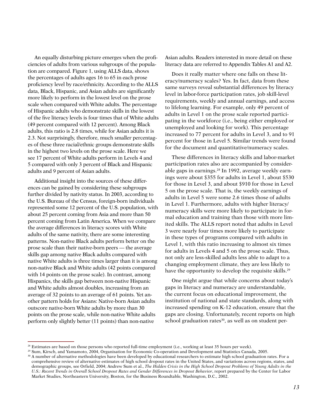An equally disturbing picture emerges when the proficiencies of adults from various subgroups of the population are compared. Figure 1, using ALLS data, shows the percentages of adults ages 16 to 65 in each prose proficiency level by race/ethnicity. According to the ALLS data, Black, Hispanic, and Asian adults are significantly more likely to perform in the lowest level on the prose scale when compared with White adults. The percentage of Hispanic adults who demonstrate skills in the lowest of the five literacy levels is four times that of White adults (49 percent compared with 12 percent). Among Black adults, this ratio is 2.8 times, while for Asian adults it is 2.3. Not surprisingly, therefore, much smaller percentages of these three racial/ethnic groups demonstrate skills in the highest two levels on the prose scale. Here we see 17 percent of White adults perform in Levels 4 and 5 compared with only 3 percent of Black and Hispanic adults and 9 percent of Asian adults.

Additional insight into the sources of these differences can be gained by considering these subgroups further divided by nativity status. In 2003, according to the U.S. Bureau of the Census, foreign-born individuals represented some 12 percent of the U.S. population, with about 25 percent coming from Asia and more than 50 percent coming from Latin America. When we compare the average differences in literacy scores with White adults of the same nativity, there are some interesting patterns. Non-native Black adults perform better on the prose scale than their native-born peers — the average skills gap among native Black adults compared with native White adults is three times larger than it is among non-native Black and White adults (42 points compared with 14 points on the prose scale). In contrast, among Hispanics, the skills gap between non-native Hispanic and White adults almost doubles, increasing from an average of 32 points to an average of 61 points. Yet another pattern holds for Asians: Native-born Asian adults outscore native-born White adults by more than 30 points on the prose scale, while non-native White adults perform only slightly better (11 points) than non-native

Asian adults. Readers interested in more detail on these literacy data are referred to Appendix Tables A1 and A2.

Does it really matter where one falls on these literacy/numeracy scales? Yes. In fact, data from these same surveys reveal substantial differences by literacy level in labor-force participation rates, job skill-level requirements, weekly and annual earnings, and access to lifelong learning. For example, only 49 percent of adults in Level 1 on the prose scale reported participating in the workforce (i.e., being either employed or unemployed and looking for work). This percentage increased to 77 percent for adults in Level 3, and to 91 percent for those in Level 5. Similar trends were found for the document and quantitative/numeracy scales.

These differences in literacy skills and labor-market participation rates also are accompanied by considerable gaps in earnings.<sup>28</sup> In 1992, average weekly earnings were about \$355 for adults in Level 1, about \$530 for those in Level 3, and about \$910 for those in Level 5 on the prose scale. That is, the weekly earnings of adults in Level 5 were some 2.6 times those of adults in Level 1. Furthermore, adults with higher literacy/ numeracy skills were more likely to participate in formal education and training than those with more limited skills. The ALLS report noted that adults in Level 3 were nearly four times more likely to participate in these types of programs compared with adults in Level 1, with this ratio increasing to almost six times for adults in Levels 4 and 5 on the prose scale. Thus, not only are less-skilled adults less able to adapt to a changing employment climate, they are less likely to have the opportunity to develop the requisite skills.<sup>29</sup>

One might argue that while concerns about today's gaps in literacy and numeracy are understandable, the current focus on educational improvement, the institution of national and state standards, along with increased spending on K-12 education, ensure that the gaps are closing. Unfortunately, recent reports on high school graduation rates<sup>30</sup>, as well as on student per-

<sup>&</sup>lt;sup>28</sup> Estimates are based on those persons who reported full-time employment (i.e., working at least 35 hours per week).

<sup>29</sup> Sum, Kirsch, and Yamamoto, 2004, Organisation for Economic Co-operation and Development and Statistics Canada, 2005.

<sup>&</sup>lt;sup>30</sup> A number of alternative methodologies have been developed by educational researchers to estimate high school graduation rates. For a comprehensive review of alternative estimates of high school dropout rates in the United States, and variations across regions, states, and demographic groups, see Orfield, 2004; Andrew Sum et al., *The Hidden Crisis in the High School Dropout Problems of Young Adults in the U.S.: Recent Trends in Overall School Dropout Rates and Gender Differences in Dropout Behavior*, report prepared by the Center for Labor Market Studies, Northeastern University, Boston, for the Business Roundtable, Washington, D.C., 2002.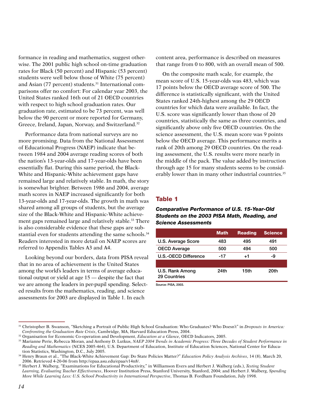formance in reading and mathematics, suggest otherwise. The 2001 public high school on-time graduation rates for Black (50 percent) and Hispanic (53 percent) students were well below those of White (75 percent) and Asian (77 percent) students.<sup>31</sup> International comparisons offer no comfort: For calendar year 2003, the United States ranked 16th out of 21 OECD countries with respect to high school graduation rates. Our graduation rate, estimated to be 73 percent, was well below the 90 percent or more reported for Germany, Greece, Ireland, Japan, Norway, and Switzerland.32

Performance data from national surveys are no more promising. Data from the National Assessment of Educational Progress (NAEP) indicate that between 1984 and 2004 average reading scores of both the nation's 13-year-olds and 17-year-olds have been essentially flat. During this same period, the Black-White and Hispanic-White achievement gaps have remained large and relatively stable. In math, the story is somewhat brighter. Between 1986 and 2004, average math scores in NAEP increased significantly for both 13-year-olds and 17-year-olds. The growth in math was shared among all groups of students, but the average size of the Black-White and Hispanic-White achievement gaps remained large and relatively stable.<sup>33</sup> There is also considerable evidence that these gaps are substantial even for students attending the same schools.<sup>34</sup> Readers interested in more detail on NAEP scores are referred to Appendix Tables A3 and A4.

Looking beyond our borders, data from PISA reveal that in no area of achievement is the United States among the world's leaders in terms of average educational output or yield at age 15 — despite the fact that we are among the leaders in per-pupil spending. Selected results from the mathematics, reading, and science assessments for 2003 are displayed in Table 1. In each

content area, performance is described on measures that range from 0 to 800, with an overall mean of 500.

On the composite math scale, for example, the mean score of U.S. 15-year-olds was 483, which was 17 points below the OECD average score of 500. The difference is statistically significant, with the United States ranked 24th-highest among the 29 OECD countries for which data were available. In fact, the U.S. score was significantly lower than those of 20 countries, statistically the same as three countries, and significantly above only five OECD countries. On the science assessment, the U.S. mean score was 9 points below the OECD average. This performance merits a rank of 20th among 29 OECD countries. On the reading assessment, the U.S. results were more nearly in the middle of the pack. The value added by instruction through age 15 for many students seems to be considerably lower than in many other industrial countries.<sup>35</sup>

#### Table 1

#### *Comparative Performance of U.S. 15-Year-Old Students on the 2003 PISA Math, Reading, and Science Assessments*

|                                 | <b>Math</b> | <b>Reading</b> | <b>Science</b> |
|---------------------------------|-------------|----------------|----------------|
| U.S. Average Score              | 483         | 495            | 491            |
| <b>OECD Average</b>             | 500         | 494            | 500            |
| U.S.-OECD Difference            | -17         | $+1$           | -9             |
|                                 |             |                |                |
| U.S. Rank Among<br>29 Countries | 24th        | 15th           | 20th           |

Source: PISA, 2003.

<sup>31</sup> Christopher B. Swanson, "Sketching a Portrait of Public High School Graduation: Who Graduates? Who Doesn't" in *Dropouts in America: Confronting the Graduation Rate Crisis*, Cambridge, MA, Harvard Education Press, 2004.

<sup>32</sup> Organisation for Economic Co-operation and Development, *Education at a Glance*, OECD Indicators, 2005.

<sup>33</sup> Marianne Perie, Rebecca Moran, and Anthony D. Lutkus, *NAEP 2004 Trends in Academic Progress: Three Decades of Student Performance in Reading and Mathematics* (NCES 2005-464), U.S. Department of Education, Institute of Education Sciences, National Center for Education Statistics, Washington, D.C., July 2005.

<sup>34</sup> Henry Braun et al., "The Black-White Achievement Gap: Do State Policies Matter?" *Education Policy Analysis Archives*, 14 (8), March 20, 2006. Retrieved 4-20-06 from http://epaa.asu.edu/epaa/v14n8/.

<sup>35</sup> Herbert J. Walberg, "Examinations for Educational Productivity," in Williamson Evers and Herbert J. Walberg (eds.), *Testing Student Learning, Evaluating Teacher Effectiveness*, Hoover Institution Press, Stanford University, Stanford, 2004; and Herbert J. Walberg, *Spending More While Learning Less: U.S. School Productivity in International Perspective*, Thomas B. Fordham Foundation, July 1998.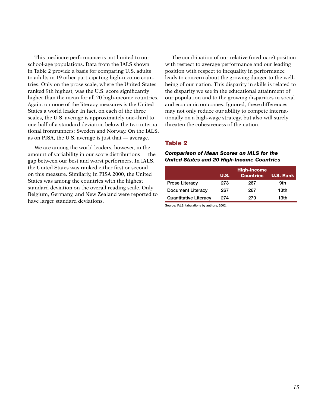This mediocre performance is not limited to our school-age populations. Data from the IALS shown in Table 2 provide a basis for comparing U.S. adults to adults in 19 other participating high-income countries. Only on the prose scale, where the United States ranked 9th highest, was the U.S. score significantly higher than the mean for all 20 high-income countries. Again, on none of the literacy measures is the United States a world leader. In fact, on each of the three scales, the U.S. average is approximately one-third to one-half of a standard deviation below the two international frontrunners: Sweden and Norway. On the IALS, as on PISA, the U.S. average is just that — average.

We are among the world leaders, however, in the amount of variability in our score distributions — the gap between our best and worst performers. In IALS, the United States was ranked either first or second on this measure. Similarly, in PISA 2000, the United States was among the countries with the highest standard deviation on the overall reading scale. Only Belgium, Germany, and New Zealand were reported to have larger standard deviations.

The combination of our relative (mediocre) position with respect to average performance and our leading position with respect to inequality in performance leads to concern about the growing danger to the wellbeing of our nation. This disparity in skills is related to the disparity we see in the educational attainment of our population and to the growing disparities in social and economic outcomes. Ignored, these differences may not only reduce our ability to compete internationally on a high-wage strategy, but also will surely threaten the cohesiveness of the nation.

# Table 2

#### *Comparison of Mean Scores on IALS for the United States and 20 High-Income Countries*

|                              |             | <b>High-Income</b> |                  |
|------------------------------|-------------|--------------------|------------------|
|                              | <b>U.S.</b> | <b>Countries</b>   | <b>U.S. Rank</b> |
| <b>Prose Literacy</b>        | 273         | 267                | 9th              |
| <b>Document Literacy</b>     | 267         | 267                | 13th             |
| <b>Quantitative Literacy</b> | 274         | 270                | 13th             |

Source: IALS, tabulations by authors, 2002.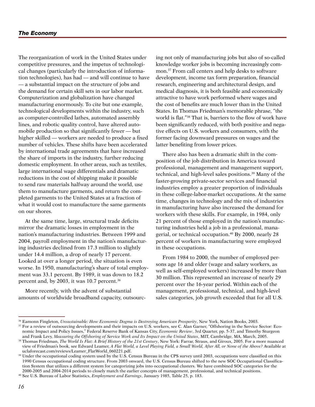The reorganization of work in the United States under competitive pressures, and the impetus of technological changes (particularly the introduction of information technologies), has had — and will continue to have — a substantial impact on the structure of jobs and the demand for certain skill sets in our labor market. Computerization and globalization have changed manufacturing enormously. To cite but one example, technological developments within the industry, such as computer-controlled lathes, automated assembly lines, and robotic quality control, have altered automobile production so that significantly fewer — but higher skilled — workers are needed to produce a fixed number of vehicles. These shifts have been accelerated by international trade agreements that have increased the share of imports in the industry, further reducing domestic employment. In other areas, such as textiles, large international wage differentials and dramatic reductions in the cost of shipping make it possible to send raw materials halfway around the world, use them to manufacture garments, and return the completed garments to the United States at a fraction of what it would cost to manufacture the same garments on our shores.

At the same time, large, structural trade deficits mirror the dramatic losses in employment in the nation's manufacturing industries. Between 1999 and 2004, payroll employment in the nation's manufacturing industries declined from 17.3 million to slightly under 14.4 million, a drop of nearly 17 percent. Looked at over a longer period, the situation is even worse. In 1950, manufacturing's share of total employment was 33.1 percent. By 1989, it was down to 18.2 percent and, by 2003, it was 10.7 percent.36

More recently, with the advent of substantial amounts of worldwide broadband capacity, outsourc-

ing not only of manufacturing jobs but also of so-called knowledge worker jobs is becoming increasingly common.37 From call centers and help desks to software development, income tax form preparation, financial research, engineering and architectural design, and medical diagnosis, it is both feasible and economically attractive to have work performed where wages and the cost of benefits are much lower than in the United States. In Thomas Friedman's memorable phrase, "the world is flat."38 That is, barriers to the flow of work have been significantly reduced, with both positive and negative effects on U.S. workers and consumers, with the former facing downward pressures on wages and the latter benefiting from lower prices.

There also has been a dramatic shift in the composition of the job distribution in America toward professional, management and management support, technical, and high-level sales positions.39 Many of the faster-growing private-sector services and financial industries employ a greater proportion of individuals in these college-labor-market occupations. At the same time, changes in technology and the mix of industries in manufacturing have also increased the demand for workers with these skills. For example, in 1984, only 21 percent of those employed in the nation's manufacturing industries held a job in a professional, managerial, or technical occupation.40 By 2000, nearly 28 percent of workers in manufacturing were employed in these occupations.

From 1984 to 2000, the number of employed persons age 16 and older (wage and salary workers, as well as self-employed workers) increased by more than 30 million. This represented an increase of nearly 29 percent over the 16-year period. Within each of the management, professional, technical, and high-level sales categories, job growth exceeded that for all U.S.

<sup>36</sup> Eamonn Fingleton, *Unsustainable: How Economic Dogma is Destroying American Prosperity*, New York, Nation Books, 2003.

<sup>&</sup>lt;sup>37</sup> For a review of outsourcing developments and their impacts on U.S. workers, see C. Alan Garner, "Offshoring in the Service Sector: Economic Impact and Policy Issues," Federal Reserve Bank of Kansas City, *Economic Review*, 3rd Quarter, pp. 5-37, and Timothy Sturgeon and Frank Levy, *Measuring the Offshoring of Service Work and Its Impact on the United States*, MIT, Cambridge, MA, March, 2005.

<sup>&</sup>lt;sup>38</sup> Thomas Friedman, *The World Is Flat: A Brief History of the 21st Century*, New York: Farrar, Straus, and Giroux, 2005. For a more nuanced view of Friedman's book, see Edward Leamer, *A Flat World, a Level Playing Field, a Small World, After All, or None of the Above?* Available at uclaforecast.com/reviews/Leamer\_FlatWorld\_060221.pdf.

 $39$  Under the occupational coding system used by the U.S. Census Bureau in the CPS survey until 2003, occupations were classified on this 1990 Census occupational coding structure. From 2003 onward, the U.S. Census Bureau shifted to the new SOC Occupational Classification System that utilizes a different system for categorizing jobs into occupational clusters. We have combined SOC categories for the 2000-2005 and 2004-2014 periods to closely match the earlier concepts of management, professional, and technical positions.

<sup>40</sup> See U.S. Bureau of Labor Statistics, *Employment and Earnings*, January 1985, Table 25, p. 183.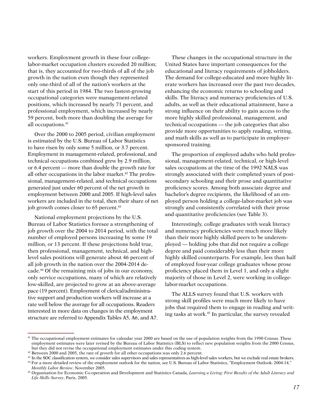workers. Employment growth in these four collegelabor-market occupation clusters exceeded 20 million; that is, they accounted for two-thirds of all of the job growth in the nation even though they represented only one-third of all of the nation's workers at the start of this period in 1984. The two fastest-growing occupational categories were management-related positions, which increased by nearly 71 percent, and professional employment, which increased by nearly 59 percent, both more than doubling the average for all occupations.41

Over the 2000 to 2005 period, civilian employment is estimated by the U.S. Bureau of Labor Statistics to have risen by only some 5 million, or 3.7 percent. Employment in management-related, professional, and technical occupations combined grew by 2.9 million, or 6.4 percent — more than double the growth rate for all other occupations in the labor market.<sup>42</sup> The professional, management-related, and technical occupations generated just under 60 percent of the net growth in employment between 2000 and 2005. If high-level sales workers are included in the total, then their share of net job growth comes closer to 65 percent.<sup>43</sup>

National employment projections by the U.S. Bureau of Labor Statistics foresee a strengthening of job growth over the 2004 to 2014 period, with the total number of employed persons increasing by some 19 million, or 13 percent. If these projections hold true, then professional, management, technical, and highlevel sales positions will generate about 46 percent of all job growth in the nation over the 2004-2014 decade.44 Of the remaining mix of jobs in our economy, only service occupations, many of which are relatively low-skilled, are projected to grow at an above-average pace (19 percent). Employment of clerical/administrative support and production workers will increase at a rate well below the average for all occupations. Readers interested in more data on changes in the employment structure are referred to Appendix Tables A5, A6, and A7.

These changes in the occupational structure in the United States have important consequences for the educational and literacy requirements of jobholders. The demand for college-educated and more highly literate workers has increased over the past two decades, enhancing the economic returns to schooling and skills. The literacy and numeracy proficiencies of U.S. adults, as well as their educational attainment, have a strong influence on their ability to gain access to the more highly skilled professional, management, and technical occupations — the job categories that also provide more opportunities to apply reading, writing, and math skills as well as to participate in employersponsored training.

The proportion of employed adults who held professional, management-related, technical, or high-level sales occupations at the time of the 1992 NALS was strongly associated with their completed years of postsecondary schooling and their prose and quantitative proficiency scores. Among both associate degree and bachelor's degree recipients, the likelihood of an employed person holding a college-labor-market job was strongly and consistently correlated with their prose and quantitative proficiencies (see Table 3).

Interestingly, college graduates with weak literacy and numeracy proficiencies were much more likely than their more highly skilled peers to be underemployed — holding jobs that did not require a college degree and paid considerably less than their more highly skilled counterparts. For example, less than half of employed four-year college graduates whose prose proficiency placed them in Level 1, and only a slight majority of those in Level 2, were working in collegelabor-market occupations.

The ALLS survey found that U.S. workers with strong skill profiles were much more likely to have jobs that required them to engage in reading and writing tasks at work.45 In particular, the survey revealed

<sup>&</sup>lt;sup>41</sup> The occupational employment estimates for calendar year 2000 are based on the use of population weights from the 1990 Census. These employment estimates were later revised by the Bureau of Labor Statistics (BLS) to reflect new population weights from the 2000 Census, but they did not revise the occupational employment estimates under this coding system.

<sup>&</sup>lt;sup>42</sup> Between 2000 and 2005, the rate of growth for all other occupations was only 2.6 percent.

<sup>&</sup>lt;sup>43</sup> In the SOC classification system, we consider sales supervisors and sales representatives as high-level sales workers, but we exclude real estate brokers.

<sup>44</sup> For a more detailed review of the employment outlook for the nation, see U.S. Bureau of Labor Statistics, "Employment Outlook: 2004-14," *Monthly Labor Review*, November 2005.

<sup>45</sup> Organisation for Economic Co-operation and Development and Statistics Canada, *Learning a Living: First Results of the Adult Literacy and Life Skills Survey*, Paris, 2005.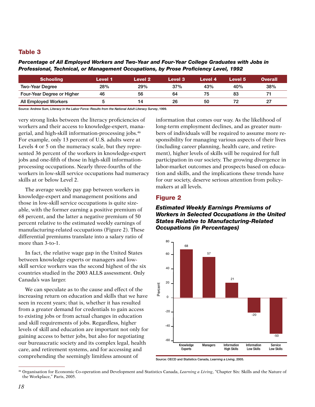# Table 3

*Percentage of All Employed Workers and Two-Year and Four-Year College Graduates with Jobs in Professional, Technical, or Management Occupations, by Prose Proficiency Level, 1992*

| <b>Schooling</b>           | Level 1 | Level 2 | <b>Level 3</b> | Level 4 | Level 5 | Overall |
|----------------------------|---------|---------|----------------|---------|---------|---------|
| <b>Two-Year Degree</b>     | 28%     | 29%     | 37%            | 43%     | 40%     | 38%     |
| Four-Year Degree or Higher | 46      | 56      | 64             | 75      | 83      |         |
| All Employed Workers       |         | 14      | 26             | 50      |         | 27      |

Source: Andrew Sum, *Literacy in the Labor Force: Results from the National Adult Literacy Survey*, 1999.

very strong links between the literacy proficiencies of workers and their access to knowledge-expert, managerial, and high-skill information-processing jobs.46 For example, only 13 percent of U.S. adults were at Levels 4 or 5 on the numeracy scale, but they represented 36 percent of the workers in knowledge-expert jobs and one-fifth of those in high-skill informationprocessing occupations. Nearly three-fourths of the workers in low-skill service occupations had numeracy skills at or below Level 2.

The average weekly pay gap between workers in knowledge-expert and management positions and those in low-skill service occupations is quite sizeable, with the former earning a positive premium of 68 percent, and the latter a negative premium of 50 percent relative to the estimated weekly earnings of manufacturing-related occupations (Figure 2). These differential premiums translate into a salary ratio of more than 3-to-1.

In fact, the relative wage gap in the United States between knowledge experts or managers and lowskill service workers was the second highest of the six countries studied in the 2003 ALLS assessment. Only Canada's was larger.

We can speculate as to the cause and effect of the increasing return on education and skills that we have seen in recent years; that is, whether it has resulted from a greater demand for credentials to gain access to existing jobs or from actual changes in education and skill requirements of jobs. Regardless, higher levels of skill and education are important not only for gaining access to better jobs, but also for negotiating our bureaucratic society and its complex legal, health care, and retirement systems, and for accessing and comprehending the seemingly limitless amount of

information that comes our way. As the likelihood of long-term employment declines, and as greater numbers of individuals will be required to assume more responsibility for managing various aspects of their lives (including career planning, health care, and retirement), higher levels of skills will be required for full participation in our society. The growing divergence in labor-market outcomes and prospects based on education and skills, and the implications these trends have for our society, deserve serious attention from policymakers at all levels.

#### Figure 2

## *Estimated Weekly Earnings Premiums of Workers in Selected Occupations in the United States Relative to Manufacturing-Related Occupations (in Percentages)*



Source: OECD and Statistics Canada, *Learning a Living*, 2005.

<sup>46</sup> Organisation for Economic Co-operation and Development and Statistics Canada, *Learning a Living*, "Chapter Six: Skills and the Nature of the Workplace," Paris, 2005.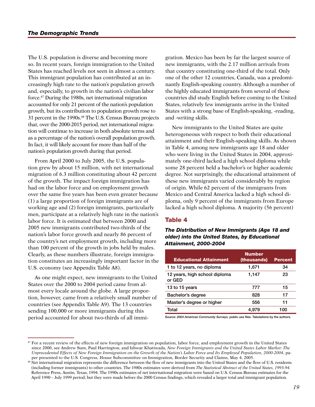The U.S. population is diverse and becoming more so. In recent years, foreign immigration to the United States has reached levels not seen in almost a century. This immigrant population has contributed at an increasingly high rate to the nation's population growth and, especially, to growth in the nation's civilian labor force.47 During the 1980s, net international migration accounted for only 21 percent of the nation's population growth, but its contribution to population growth rose to 31 percent in the 1990s.48 The U.S. Census Bureau projects that, over the 2000-2015 period, net international migration will continue to increase in both absolute terms and as a percentage of the nation's overall population growth. In fact, it will likely account for more than half of the nation's population growth during that period.

From April 2000 to July 2005, the U.S. population grew by about 15 million, with net international migration of 6.3 million constituting about 42 percent of the growth. The impact foreign immigration has had on the labor force and on employment growth over the same five years has been even greater because (1) a large proportion of foreign immigrants are of working age and (2) foreign immigrants, particularly men, participate at a relatively high rate in the nation's labor force. It is estimated that between 2000 and 2005 new immigrants contributed two-thirds of the nation's labor force growth and nearly 86 percent of the country's net employment growth, including more than 100 percent of the growth in jobs held by males. Clearly, as these numbers illustrate, foreign immigration constitutes an increasingly important factor in the U.S. economy (see Appendix Table A8).

As one might expect, new immigrants to the United States over the 2000 to 2004 period came from almost every locale around the globe. A large proportion, however, came from a relatively small number of countries (see Appendix Table A9). The 13 countries sending 100,000 or more immigrants during this period accounted for about two-thirds of all immigration. Mexico has been by far the largest source of new immigrants, with the 2.17 million arrivals from that country constituting one-third of the total. Only one of the other 12 countries, Canada, was a predominantly English-speaking country. Although a number of the highly educated immigrants from several of these countries did study English before coming to the United States, relatively few immigrants arrive in the United States with a strong base of English-speaking, -reading, and -writing skills.

New immigrants to the United States are quite heterogeneous with respect to both their educational attainment and their English-speaking skills. As shown in Table 4, among new immigrants age 18 and older who were living in the United States in 2004, approximately one-third lacked a high school diploma while some 28 percent held a bachelor's or higher academic degree. Not surprisingly, the educational attainment of these new immigrants varied considerably by region of origin. While 62 percent of the immigrants from Mexico and Central America lacked a high school diploma, only 9 percent of the immigrants from Europe lacked a high school diploma. A majority (56 percent)

# Table 4

*The Distribution of New Immigrants (Age 18 and older) into the United States, by Educational Attainment, 2000-2004*

| <b>Educational Attainment</b>           | <b>Number</b><br>(thousands) | <b>Percent</b> |
|-----------------------------------------|------------------------------|----------------|
| 1 to 12 years, no diploma               | 1,671                        | 34             |
| 12 years, high school diploma<br>or GED | 1,147                        | 23             |
| 13 to 15 years                          | 777                          | 15             |
| Bachelor's degree                       | 828                          | 17             |
| Master's degree or higher               | 556                          | 11             |
| Total                                   | 4.979                        | 100            |

Source: *2004 American Community Surveys*, public use files. Tabulations by the authors.

<sup>&</sup>lt;sup>47</sup> For a recent review of the effects of new foreign immigration on population, labor force, and employment growth in the United States since 2000, see Andrew Sum, Paul Harrington, and Ishwar Khatiwada, *New Foreign Immigrants and the United States Labor Market: The Unprecedented Effects of New Foreign Immigration on the Growth of the Nation's Labor Force and Its Employed Population, 2000-2004*, paper presented to the U.S. Congress, House Subcommittee on Immigration, Border Security and Claims, May 4, 2005.

<sup>&</sup>lt;sup>48</sup> Net international migration represents the difference between the flow of new immigrants into the United States and the flow of U.S. residents (including former immigrants) to other countries. The 1980s estimates were derived from *The Statistical Abstract of the United States, 1993-94*. Reference Press, Austin, Texas, 1994. The 1990s estimates of net international migration were based on U.S. Census Bureau estimates for the April 1990 – July 1999 period; but they were made before the 2000 Census findings, which revealed a larger total and immigrant population.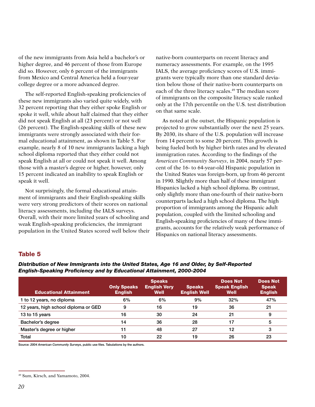of the new immigrants from Asia held a bachelor's or higher degree, and 46 percent of those from Europe did so. However, only 6 percent of the immigrants from Mexico and Central America held a four-year college degree or a more advanced degree.

The self-reported English-speaking proficiencies of these new immigrants also varied quite widely, with 32 percent reporting that they either spoke English or spoke it well, while about half claimed that they either did not speak English at all (23 percent) or not well (26 percent). The English-speaking skills of these new immigrants were strongly associated with their formal educational attainment, as shown in Table 5. For example, nearly 8 of 10 new immigrants lacking a high school diploma reported that they either could not speak English at all or could not speak it well. Among those with a master's degree or higher, however, only 15 percent indicated an inability to speak English or speak it well.

Not surprisingly, the formal educational attainment of immigrants and their English-speaking skills were very strong predictors of their scores on national literacy assessments, including the IALS surveys. Overall, with their more limited years of schooling and weak English-speaking proficiencies, the immigrant population in the United States scored well below their native-born counterparts on recent literacy and numeracy assessments. For example, on the 1995 IALS, the average proficiency scores of U.S. immigrants were typically more than one standard deviation below those of their native-born counterparts on each of the three literacy scales.<sup>49</sup> The median score of immigrants on the composite literacy scale ranked only at the 17th percentile on the U.S. test distribution on that same scale.

As noted at the outset, the Hispanic population is projected to grow substantially over the next 25 years. By 2030, its share of the U.S. population will increase from 14 percent to some 20 percent. This growth is being fueled both by higher birth rates and by elevated immigration rates. According to the findings of the *American Community Surveys*, in 2004, nearly 57 percent of the 16- to 64-year-old Hispanic population in the United States was foreign-born, up from 46 percent in 1990. Slightly more than half of these immigrant Hispanics lacked a high school diploma. By contrast, only slightly more than one-fourth of their native-born counterparts lacked a high school diploma. The high proportion of immigrants among the Hispanic adult population, coupled with the limited schooling and English-speaking proficiencies of many of these immigrants, accounts for the relatively weak performance of Hispanics on national literacy assessments.

#### Table 5

| <b>Educational Attainment</b>        | <b>Only Speaks</b><br><b>English</b> | <b>Speaks</b><br><b>English Very</b><br>Well | <b>Speaks</b><br><b>English Well</b> | <b>Does Not</b><br><b>Speak English</b><br>Well | <b>Does Not</b><br><b>Speak</b><br><b>English</b> |
|--------------------------------------|--------------------------------------|----------------------------------------------|--------------------------------------|-------------------------------------------------|---------------------------------------------------|
| 1 to 12 years, no diploma            | 6%                                   | 6%                                           | 9%                                   | 32%                                             | 47%                                               |
| 12 years, high school diploma or GED | 9                                    | 16                                           | 19                                   | 36                                              | 21                                                |
| 13 to 15 years                       | 16                                   | 30                                           | 24                                   | 21                                              | 9                                                 |
| Bachelor's degree                    | 14                                   | 36                                           | 28                                   | 17                                              | 5                                                 |
| Master's degree or higher            | 11                                   | 48                                           | 27                                   | 12                                              | 3                                                 |
| Total                                | 10                                   | 22                                           | 19                                   | 26                                              | 23                                                |

*Distribution of New Immigrants into the United States, Age 16 and Older, by Self-Reported English-Speaking Proficiency and by Educational Attainment, 2000-2004*

Source: *2004 American Community Surveys*, public use files. Tabulations by the authors.

<sup>49</sup> Sum, Kirsch, and Yamamoto, 2004.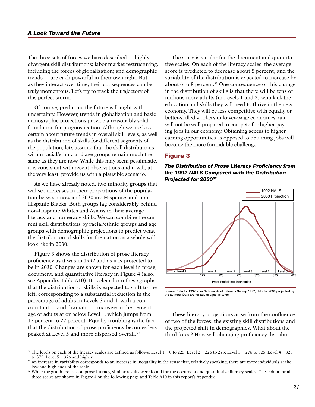The three sets of forces we have described — highly divergent skill distributions; labor-market restructuring, including the forces of globalization; and demographic trends — are each powerful in their own right. But as they interact over time, their consequences can be truly momentous. Let's try to track the trajectory of this perfect storm.

Of course, predicting the future is fraught with uncertainty. However, trends in globalization and basic demographic projections provide a reasonably solid foundation for prognostication. Although we are less certain about future trends in overall skill levels, as well as the distribution of skills for different segments of the population, let's assume that the skill distributions within racial/ethnic and age groups remain much the same as they are now. While this may seem pessimistic, it is consistent with recent observations and it will, at the very least, provide us with a plausible scenario.

As we have already noted, two minority groups that will see increases in their proportions of the population between now and 2030 are Hispanics and non-Hispanic Blacks. Both groups lag considerably behind non-Hispanic Whites and Asians in their average literacy and numeracy skills. We can combine the current skill distributions by racial/ethnic groups and age groups with demographic projections to predict what the distribution of skills for the nation as a whole will look like in 2030.

Figure 3 shows the distribution of prose literacy proficiency as it was in 1992 and as it is projected to be in 2030. Changes are shown for each level in prose, document, and quantitative literacy in Figure 4 (also, see Appendix Table A10). It is clear from these graphs that the distribution of skills is expected to shift to the left, corresponding to a substantial reduction in the percentage of adults in Levels 3 and 4, with a concomitant — and dramatic — increase in the percentage of adults at or below Level 1, which jumps from 17 percent to 27 percent. Equally troubling is the fact that the distribution of prose proficiency becomes less peaked at Level 3 and more dispersed overall.50

The story is similar for the document and quantitative scales. On each of the literacy scales, the average score is predicted to decrease about 5 percent, and the variability of the distribution is expected to increase by about 6 to 8 percent.<sup>51</sup> One consequence of this change in the distribution of skills is that there will be tens of millions more adults (in Levels 1 and 2) who lack the education and skills they will need to thrive in the new economy. They will be less competitive with equally or better-skilled workers in lower-wage economies, and will not be well prepared to compete for higher-paying jobs in our economy. Obtaining access to higher earning opportunities as opposed to obtaining jobs will become the more formidable challenge.

#### Figure 3

*The Distribution of Prose Literacy Proficiency from the 1992 NALS Compared with the Distribution Projected for 203052*



Source: Data for 1992 from National Adult Literacy Survey, 1992; data for 2030 projected by the authors. Data are for adults ages 16 to 65.

These literacy projections arise from the confluence of two of the forces: the existing skill distributions and the projected shift in demographics. What about the third force? How will changing proficiency distribu-

<sup>&</sup>lt;sup>50</sup> The levels on each of the literacy scales are defined as follows: Level  $1 = 0$  to 225; Level  $2 = 226$  to 275; Level  $3 = 276$  to 325; Level  $4 = 326$ to 375; Level  $5 = 376$  and higher.

<sup>&</sup>lt;sup>51</sup> An increase in variability corresponds to an increase in inequality in the sense that, relatively speaking, there are more individuals at the low and high ends of the scale.

<sup>&</sup>lt;sup>52</sup> While the graph focuses on prose literacy, similar results were found for the document and quantitative literacy scales. These data for all three scales are shown in Figure 4 on the following page and Table A10 in this report's Appendix.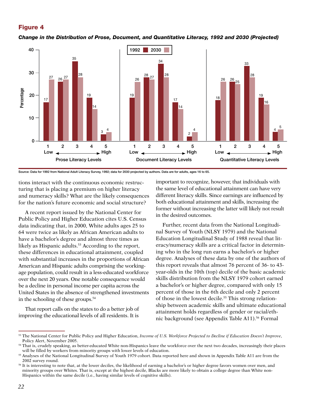# Figure 4

*Change in the Distribution of Prose, Document, and Quantitative Literacy, 1992 and 2030 (Projected)*



Source: Data for 1992 from National Adult Literacy Survey, 1992; data for 2030 projected by authors. Data are for adults, ages 16 to 65.

tions interact with the continuous economic restructuring that is placing a premium on higher literacy and numeracy skills? What are the likely consequences for the nation's future economic and social structure?

A recent report issued by the National Center for Public Policy and Higher Education cites U.S. Census data indicating that, in 2000, White adults ages 25 to 64 were twice as likely as African American adults to have a bachelor's degree and almost three times as likely as Hispanic adults.<sup>53</sup> According to the report, these differences in educational attainment, coupled with substantial increases in the proportions of African American and Hispanic adults comprising the workingage population, could result in a less-educated workforce over the next 20 years. One notable consequence would be a decline in personal income per capita across the United States in the absence of strengthened investments in the schooling of these groups.54

That report calls on the states to do a better job of improving the educational levels of all residents. It is

important to recognize, however, that individuals with the same level of educational attainment can have very different literacy skills. Since earnings are influenced by both educational attainment and skills, increasing the former without increasing the latter will likely not result in the desired outcomes.

Further, recent data from the National Longitudinal Survey of Youth (NLSY 1979) and the National Education Longitudinal Study of 1988 reveal that literacy/numeracy skills are a critical factor in determining who in the long run earns a bachelor's or higher degree. Analyses of these data by one of the authors of this report reveals that almost 76 percent of 36- to 43 year-olds in the 10th (top) decile of the basic academic skills distribution from the NLSY 1979 cohort earned a bachelor's or higher degree, compared with only 15 percent of those in the 6th decile and only 2 percent of those in the lowest decile.<sup>55</sup> This strong relationship between academic skills and ultimate educational attainment holds regardless of gender or racial/ethnic background (see Appendix Table A11).<sup>56</sup> Formal

<sup>53</sup> The National Center for Public Policy and Higher Education, *Income of U.S. Workforce Projected to Decline if Education Doesn't Improve*, Policy Alert, November 2005.

<sup>&</sup>lt;sup>54</sup> That is, crudely speaking, as better-educated White non-Hispanics leave the workforce over the next two decades, increasingly their places will be filled by workers from minority groups with lower levels of education.

<sup>55</sup> Analyses of the National Longitudinal Survey of Youth 1979 cohort. Data reported here and shown in Appendix Table A11 are from the 2002 survey round.

<sup>56</sup> It is interesting to note that, at the lower deciles, the likelihood of earning a bachelor's or higher degree favors women over men, and minority groups over Whites. That is, except at the highest decile, Blacks are more likely to obtain a college degree than White non-Hispanics within the same decile (i.e., having similar levels of cognitive skills).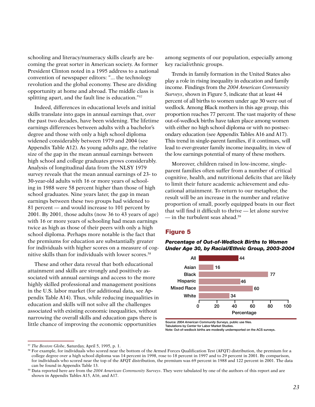schooling and literacy/numeracy skills clearly are becoming the great sorter in American society. As former President Clinton noted in a 1995 address to a national convention of newspaper editors: "... the technology revolution and the global economy. These are dividing opportunity at home and abroad. The middle class is splitting apart, and the fault line is education."57

Indeed, differences in educational levels and initial skills translate into gaps in annual earnings that, over the past two decades, have been widening. The lifetime earnings differences between adults with a bachelor's degree and those with only a high school diploma widened considerably between 1979 and 2004 (see Appendix Table A12). As young adults age, the relative size of the gap in the mean annual earnings between high school and college graduates grows considerably. Analysis of longitudinal data from the NLSY 1979 survey reveals that the mean annual earnings of 23- to 30-year-old adults with 16 or more years of schooling in 1988 were 58 percent higher than those of high school graduates. Nine years later, the gap in mean earnings between these two groups had widened to 81 percent — and would increase to 101 percent by 2001. By 2001, those adults (now 36 to 43 years of age) with 16 or more years of schooling had mean earnings twice as high as those of their peers with only a high school diploma. Perhaps more notable is the fact that the premiums for education are substantially greater for individuals with higher scores on a measure of cognitive skills than for individuals with lower scores.<sup>58</sup>

These and other data reveal that both educational attainment and skills are strongly and positively associated with annual earnings and access to the more highly skilled professional and management positions in the U.S. labor market (for additional data, see Appendix Table A14). Thus, while reducing inequalities in education and skills will not solve all the challenges associated with existing economic inequalities, without narrowing the overall skills and education gaps there is little chance of improving the economic opportunities

among segments of our population, especially among key racial/ethnic groups.

Trends in family formation in the United States also play a role in rising inequality in education and family income. Findings from the *2004 American Community Surveys*, shown in Figure 5, indicate that at least 44 percent of all births to women under age 30 were out of wedlock. Among Black mothers in this age group, this proportion reaches 77 percent. The vast majority of these out-of-wedlock births have taken place among women with either no high school diploma or with no postsecondary education (see Appendix Tables A16 and A17). This trend in single-parent families, if it continues, will lead to ever-greater family income inequality, in view of the low earnings potential of many of these mothers.

Moreover, children raised in low-income, singleparent families often suffer from a number of critical cognitive, health, and nutritional deficits that are likely to limit their future academic achievement and educational attainment. To return to our metaphor, the result will be an increase in the number and relative proportion of small, poorly equipped boats in our fleet that will find it difficult to thrive — let alone survive — in the turbulent seas ahead.59

# Figure 5

*Percentage of Out-of-Wedlock Births to Women Under Age 30, by Racial/Ethnic Group, 2003-2004*



Source: *2004 American Community Surveys,* public use files.

Tabulations by Center for Labor Market Studies. Note: Out-of-wedlock births are modestly underreported on the ACS surveys.

<sup>57</sup> *The Boston Globe*, Saturday, April 5, 1995, p. 1.

<sup>58</sup> For example, for individuals who scored near the bottom of the Armed Forces Qualification Test (AFQT) distribution, the premium for a college degree over a high school diploma was 14 percent in 1998, rose to 18 percent in 1997 and to 29 percent in 2001. By comparison, for individuals who scored near the top of the AFQT distribution, the premium was 69 percent in 1988 and 122 percent in 2001. The data can be found in Appendix Table 13.

<sup>59</sup> Data reported here are from the *2004 American Community Surveys*. They were tabulated by one of the authors of this report and are shown in Appendix Tables A15, A16, and A17.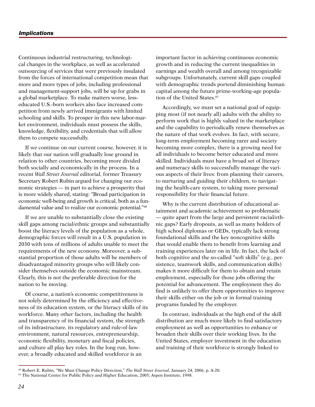#### *Implications*

Continuous industrial restructuring, technological changes in the workplace, as well as accelerated outsourcing of services that were previously insulated from the forces of international competition mean that more and more types of jobs, including professional and management-support jobs, will be up for grabs in a global marketplace. To make matters worse, lesseducated U.S.-born workers also face increased competition from newly arrived immigrants with limited schooling and skills. To prosper in this new labor-market environment, individuals must possess the skills, knowledge, flexibility, and credentials that will allow them to compete successfully.

If we continue on our current course, however, it is likely that our nation will gradually lose ground in relation to other countries, becoming more divided both socially and economically in the process. In a recent *Wall Street Journal* editorial, former Treasury Secretary Robert Rubin argued for changing our economic strategies — in part to achieve a prosperity that is more widely shared, stating: "Broad participation in economic well-being and growth is critical, both as a fundamental value and to realize our economic potential."60

If we are unable to substantially close the existing skill gaps among racial/ethnic groups and substantially boost the literacy levels of the population as a whole, demographic forces will result in a U.S. population in 2030 with tens of millions of adults unable to meet the requirements of the new economy. Moreover, a substantial proportion of those adults will be members of disadvantaged minority groups who will likely consider themselves outside the economic mainstream. Clearly, this is not the preferable direction for the nation to be moving.

Of course, a nation's economic competitiveness is not solely determined by the efficiency and effectiveness of its education system, or the literacy skills of its workforce. Many other factors, including the health and transparency of its financial system, the strength of its infrastructure, its regulatory and rule-of-law environment, natural resources, entrepreneurship, economic flexibility, monetary and fiscal policies, and culture all play key roles. In the long run, however, a broadly educated and skilled workforce is an

important factor in achieving continuous economic growth and in reducing the current inequalities in earnings and wealth overall and among recognizable subgroups. Unfortunately, current skill gaps coupled with demographic trends portend diminishing human capital among the future prime-working-age population of the United States.<sup>61</sup>

Accordingly, we must set a national goal of equipping most (if not nearly all) adults with the ability to perform work that is highly valued in the marketplace and the capability to periodically renew themselves as the nature of that work evolves. In fact, with secure, long-term employment becoming rarer and society becoming more complex, there is a growing need for all individuals to become better educated and more skilled. Individuals must have a broad set of literacy and numeracy skills to successfully manage the various aspects of their lives: from planning their careers, to nurturing and guiding their children, to navigating the health-care system, to taking more personal responsibility for their financial future.

Why is the current distribution of educational attainment and academic achievement so problematic — quite apart from the large and persistent racial/ethnic gaps? Early dropouts, as well as many holders of high school diplomas or GEDs, typically lack strong foundational skills and the key noncognitive skills that would enable them to benefit from learning and training experiences later on in life. In fact, the lack of both cognitive and the so-called "soft skills" (e.g., persistence, teamwork skills, and communication skills) makes it more difficult for them to obtain and retain employment, especially for those jobs offering the potential for advancement. The employment they do find is unlikely to offer them opportunities to improve their skills either on the job or in formal training programs funded by the employer.

In contrast, individuals at the high end of the skill distribution are much more likely to find satisfactory employment as well as opportunities to enhance or broaden their skills over their working lives. In the United States, employer investment in the education and training of their workforce is strongly linked to

<sup>60</sup> Robert E. Rubin, "We Must Change Policy Direction," *The Wall Street Journal*, January 24, 2006, p. A-20.

<sup>61</sup> The National Center for Public Policy and Higher Education, 2005; Aspen Institute, 1998.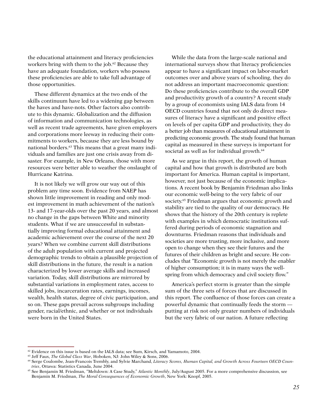the educational attainment and literacy proficiencies workers bring with them to the job.<sup>62</sup> Because they have an adequate foundation, workers who possess these proficiencies are able to take full advantage of those opportunities.

These different dynamics at the two ends of the skills continuum have led to a widening gap between the haves and have-nots. Other factors also contribute to this dynamic. Globalization and the diffusion of information and communication technologies, as well as recent trade agreements, have given employers and corporations more leeway in reducing their commitments to workers, because they are less bound by national borders.<sup>63</sup> This means that a great many individuals and families are just one crisis away from disaster. For example, in New Orleans, those with more resources were better able to weather the onslaught of Hurricane Katrina.

It is not likely we will grow our way out of this problem any time soon. Evidence from NAEP has shown little improvement in reading and only modest improvement in math achievement of the nation's 13- and 17-year-olds over the past 20 years, and almost no change in the gaps between White and minority students. What if we are unsuccessful in substantially improving formal educational attainment and academic achievement over the course of the next 20 years? When we combine current skill distributions of the adult population with current and projected demographic trends to obtain a plausible projection of skill distributions in the future, the result is a nation characterized by lower average skills and increased variation. Today, skill distributions are mirrored by substantial variations in employment rates, access to skilled jobs, incarceration rates, earnings, incomes, wealth, health status, degree of civic participation, and so on. These gaps prevail across subgroups including gender, racial/ethnic, and whether or not individuals were born in the United States.

While the data from the large-scale national and international surveys show that literacy proficiencies appear to have a significant impact on labor-market outcomes over and above years of schooling, they do not address an important macroeconomic question: Do these proficiencies contribute to the overall GDP and productivity growth of a country? A recent study by a group of economists using IALS data from 14 OECD countries found that not only do direct measures of literacy have a significant and positive effect on levels of per capita GDP and productivity, they do a better job than measures of educational attainment in predicting economic growth. The study found that human capital as measured in these surveys is important for societal as well as for individual growth.<sup>64</sup>

As we argue in this report, the growth of human capital and how that growth is distributed are both important for America. Human capital is important, however, not just because of the economic implications. A recent book by Benjamin Friedman also links our economic well-being to the very fabric of our society.<sup>65</sup> Friedman argues that economic growth and stability are tied to the quality of our democracy. He shows that the history of the 20th century is replete with examples in which democratic institutions suffered during periods of economic stagnation and downturns. Friedman reasons that individuals and societies are more trusting, more inclusive, and more open to change when they see their futures and the futures of their children as bright and secure. He concludes that "Economic growth is not merely the enabler of higher consumption; it is in many ways the wellspring from which democracy and civil society flow."

America's perfect storm is greater than the simple sum of the three sets of forces that are discussed in this report. The confluence of those forces can create a powerful dynamic that continually feeds the storm putting at risk not only greater numbers of individuals but the very fabric of our nation. A future reflecting

 $62$  Evidence on this issue is based on the IALS data; see Sum, Kirsch, and Yamamoto, 2004.

<sup>63</sup> Jeff Faux, *The Global Class War*, Hoboken, NJ: John Wiley & Sons, 2006.

<sup>64</sup> Serge Coulombe, Jean-Francois Trembly, and Sylvie Marchand, *Literacy Scores, Human Capital, and Growth Across Fourteen OECD Countries*, Ottawa: Statistics Canada, June 2004.

<sup>65</sup> See Benjamin M. Friedman, "Meltdown: A Case Study," *Atlantic Monthly*, July/August 2005. For a more comprehensive discussion, see Benjamin M. Friedman, *The Moral Consequences of Economic Growth*, New York: Knopf, 2005.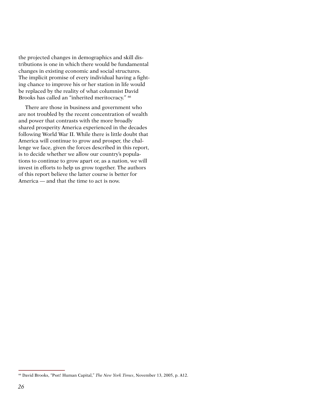the projected changes in demographics and skill distributions is one in which there would be fundamental changes in existing economic and social structures. The implicit promise of every individual having a fighting chance to improve his or her station in life would be replaced by the reality of what columnist David Brooks has called an "inherited meritocracy." 66

There are those in business and government who are not troubled by the recent concentration of wealth and power that contrasts with the more broadly shared prosperity America experienced in the decades following World War II. While there is little doubt that America will continue to grow and prosper, the challenge we face, given the forces described in this report, is to decide whether we allow our country's populations to continue to grow apart or, as a nation, we will invest in efforts to help us grow together. The authors of this report believe the latter course is better for America — and that the time to act is now.

<sup>66</sup> David Brooks, "Psst! Human Capital," *The New York Times*, November 13, 2005, p. A12.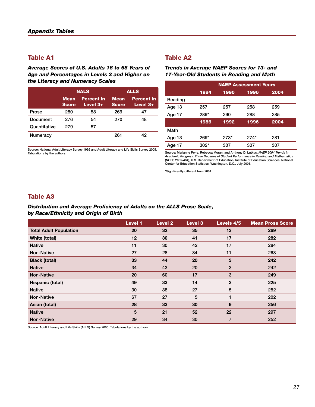*Average Scores of U.S. Adults 16 to 65 Years of Age and Percentages in Levels 3 and Higher on the Literacy and Numeracy Scales*

|                 |                             | <b>NALS</b>                                                    |     | <b>ALLS</b>                   |
|-----------------|-----------------------------|----------------------------------------------------------------|-----|-------------------------------|
|                 | <b>Mean</b><br><b>Score</b> | <b>Percent in</b><br><b>Mean</b><br><b>Score</b><br>Level $3+$ |     | <b>Percent in</b><br>Level 3+ |
| Prose           | 280                         | 58                                                             | 269 | 47                            |
| Document        | 276                         | 54                                                             | 270 | 48                            |
| Quantitative    | 279                         | 57                                                             |     |                               |
| <b>Numeracy</b> |                             |                                                                | 261 | 42                            |

Source: National Adult Literacy Survey 1992 and Adult Literacy and Life Skills Survey 2005. Tabulations by the authors.

# Table A2

*Trends in Average NAEP Scores for 13- and 17-Year-Old Students in Reading and Math*

|         | <b>NAEP Assessment Years</b> |        |        |      |  |  |
|---------|------------------------------|--------|--------|------|--|--|
|         | 1984                         | 1990   | 1996   | 2004 |  |  |
| Reading |                              |        |        |      |  |  |
| Age 13  | 257                          | 257    | 258    | 259  |  |  |
| Age 17  | 289*                         | 290    | 288    | 285  |  |  |
|         | 1986                         | 1992   | 1996   | 2004 |  |  |
| Math    |                              |        |        |      |  |  |
| Age 13  | 269*                         | $273*$ | $274*$ | 281  |  |  |
| Age 17  | 302*                         | 307    | 307    | 307  |  |  |

Source: Marianne Perie, Rebecca Moran, and Anthony D. Lutkus, NA*EP 2004 Trends in*<br>Academic Progress: Three Decades of Student Performance in Reading and Mathematics<br>(NCES 2005-464), U.S. Department of Education, Institut Center for Education Statistics, Washington, D.C., July 2005.

\*Significantly different from 2004.

# Table A3

#### *Distribution and Average Proficiency of Adults on the ALLS Prose Scale, by Race/Ethnicity and Origin of Birth*

|                               | <b>Level 1</b> | <b>Level 2</b>  | <b>Level 3</b> | Levels 4/5     | <b>Mean Prose Score</b> |
|-------------------------------|----------------|-----------------|----------------|----------------|-------------------------|
| <b>Total Adult Population</b> | 20             | 32 <sub>2</sub> | 35             | 13             | 269                     |
| White (total)                 | 12             | 30              | 41             | 17             | 282                     |
| <b>Native</b>                 | 11             | 30              | 42             | 17             | 284                     |
| <b>Non-Native</b>             | 27             | 28              | 34             | 11             | 263                     |
| <b>Black (total)</b>          | 33             | 44              | 20             | 3              | 242                     |
| <b>Native</b>                 | 34             | 43              | 20             | 3              | 242                     |
| <b>Non-Native</b>             | 20             | 60              | 17             | 3              | 249                     |
| Hispanic (total)              | 49             | 33              | 14             | 3              | 225                     |
| <b>Native</b>                 | 30             | 38              | 27             | 5              | 252                     |
| <b>Non-Native</b>             | 67             | 27              | 5              | 1              | 202                     |
| Asian (total)                 | 28             | 33              | 30             | 9              | 256                     |
| <b>Native</b>                 | 5              | 21              | 52             | 22             | 297                     |
| <b>Non-Native</b>             | 29             | 34              | 30             | $\overline{7}$ | 252                     |

Source: Adult Literacy and Life Skills (ALLS) Survey 2005. Tabulations by the authors.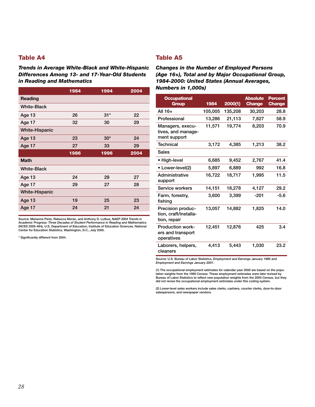*Trends in Average White-Black and White-Hispanic Differences Among 13- and 17-Year-Old Students in Reading and Mathematics*

|                       | 1984 | 1994  | 2004 |
|-----------------------|------|-------|------|
| Reading               |      |       |      |
| <b>White-Black</b>    |      |       |      |
| Age 13                | 26   | $31*$ | 22   |
| Age 17                | 32   | 30    | 29   |
| <b>White-Hispanic</b> |      |       |      |
| Age 13                | 23   | $30*$ | 24   |
| Age 17                | 27   | 33    | 29   |
|                       | 1986 | 1996  | 2004 |
| <b>Math</b>           |      |       |      |
| <b>White-Black</b>    |      |       |      |
| Age 13                | 24   | 29    | 27   |
| Age 17                | 29   | 27    | 28   |
| <b>White-Hispanic</b> |      |       |      |
| Age 13                | 19   | 25    | 23   |
|                       |      |       |      |

Source: Marianne Perie, Rebecca Moran, and Anthony D. Lutkus, *NAEP 2004 Trends in Academic Progress: Three Decades of Student Performance in Reading and Mathematics*  (NCES 2005-464), U.S. Department of Education, Institute of Education Sciences, National Center for Education Statistics, Washington, D.C., July 2005.

\* Significantly different from 2004.

# Table A5

*Changes in the Number of Employed Persons (Age 16+), Total and by Major Occupational Group, 1984-2000: United States (Annual Averages, Numbers in 1,000s)*

| <b>Occupational</b><br>Group                               | 1984    | 2000(1) | <b>Absolute</b><br><b>Change</b> | Percent<br><b>Change</b> |
|------------------------------------------------------------|---------|---------|----------------------------------|--------------------------|
| All 16+                                                    | 105,005 | 135,208 | 30,203                           | 28.8                     |
| Professional                                               | 13,286  | 21,113  | 7,827                            | 58.9                     |
| Managers, execu-<br>tives, and manage-<br>ment support     | 11,571  | 19,774  | 8,203                            | 70.9                     |
| Technical                                                  | 3,172   | 4,385   | 1,213                            | 38.2                     |
| <b>Sales</b>                                               |         |         |                                  |                          |
| • High-level                                               | 6,685   | 9,452   | 2,767                            | 41.4                     |
| • Lower-level(2)                                           | 5.897   | 6.889   | 992                              | 16.8                     |
| Administrative<br>support                                  | 16,722  | 18,717  | 1,995                            | 11.5                     |
| Service workers                                            | 14,151  | 18,278  | 4,127                            | 29.2                     |
| Farm, forestry,<br>fishing                                 | 3,600   | 3,399   | -201                             | $-5.6$                   |
| Precision produc-<br>tion, craft/installa-<br>tion, repair | 13,057  | 14,882  | 1,825                            | 14.0                     |
| <b>Production work-</b><br>ers and transport<br>operatives | 12,451  | 12,876  | 425                              | 3.4                      |
| Laborers, helpers,<br>cleaners                             | 4,413   | 5,443   | 1,030                            | 23.2                     |

Source: U.S. Bureau of Labor Statistics, *Employment and Earnings January 1985* and *Employment and Earnings January 2001*.

(1) The occupational employment estimates for calendar year 2000 are based on the population weights from the 1990 Census. These employment estimates were later revised by Bureau of Labor Statistics to reflect new population weights from the 2000 Census, but they did not revise the occupational employment estimates under this coding system.

(2) Lower-level sales workers include sales clerks, cashiers, counter clerks, door-to-door salespersons, and newspaper vendors.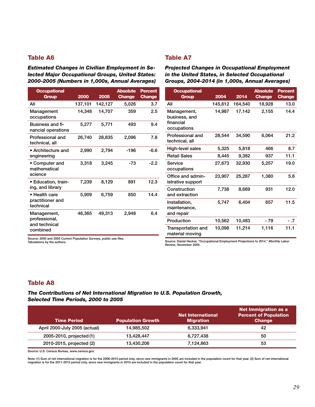*Estimated Changes in Civilian Employment in Selected Major Occupational Groups, United States: 2000-2005 (Numbers in 1,000s, Annual Averages)*

# Table A7

*Projected Changes in Occupational Employment in the United States, in Selected Occupational Groups, 2004-2014 (in 1,000s, Annual Averages)*

> > $21.2$

 $12.0$ 

11.5

| <b>Occupational</b><br><b>Group</b>           | 2000    | 2005    | <b>Absolute</b><br><b>Change</b> | <b>Percent</b><br><b>Change</b> | <b>Occupational</b><br><b>Group</b>   | 2004    | 2014    | <b>Absolute</b><br><b>Change</b> | <b>Percent</b><br><b>Change</b> |
|-----------------------------------------------|---------|---------|----------------------------------|---------------------------------|---------------------------------------|---------|---------|----------------------------------|---------------------------------|
| All                                           | 137,101 | 142,127 | 5,026                            | 3.7                             | All                                   | 145,612 | 164,540 | 18,928                           | 13.0                            |
| Management<br>occupations                     | 14,348  | 14,707  | 359                              | 2.5                             | Management,<br>business, and          | 14,987  | 17,142  | 2,155                            | 14.4                            |
| <b>Business and fi-</b><br>nancial operations | 5,277   | 5,771   | 493                              | 9.4                             | financial<br>occupations              |         |         |                                  |                                 |
| Professional and<br>technical, all            | 26,740  | 28,835  | 2,096                            | 7.8                             | Professional and<br>technical, all    | 28,544  | 34,590  | 6,064                            | 21.2                            |
| • Architecture and                            | 2,990   | 2,794   | $-196$                           | $-6.6$                          | High-level sales                      | 5,325   | 5,818   | 466                              | 8.7                             |
| engineering                                   |         |         |                                  |                                 | <b>Retail Sales</b>                   | 8,445   | 9,382   | 937                              | 11.1                            |
| • Computer and<br>mathematical                | 3,318   | 3,245   | -73                              | $-2.2$                          | Service<br>occupations                | 27,673  | 32,930  | 5,257                            | 19.0                            |
| science                                       |         |         |                                  |                                 | Office and admin-                     | 23,907  | 25,287  | 1,380                            | 5.8                             |
| • Education, train-                           | 7,239   | 8,129   | 891                              | 12.3                            | istrative support                     |         |         |                                  |                                 |
| ing, and library<br>• Health care             | 5,909   | 6,759   | 850                              | 14.4                            | Construction<br>and extraction        | 7,738   | 8,669   | 931                              | 12.0                            |
| practitioner and<br>technical                 |         |         |                                  |                                 | Installation,<br>maintenance,         | 5,747   | 6,404   | 657                              | 11.5                            |
| Management,                                   | 46,365  | 49,313  | 2,948                            | 6.4                             | and repair                            |         |         |                                  |                                 |
| professional,                                 |         |         |                                  |                                 | Production                            | 10,562  | 10,483  | - 79                             | $-.7$                           |
| and technical<br>combined                     |         |         |                                  |                                 | Transportation and<br>material moving | 10,098  | 11,214  | 1,116                            | 11.1                            |

Source: 2000 and 2005 Current Population Surveys, public use files. Tabulations by the authors.

Source: Daniel Hecker, "Occupational Employment Projections to 2014," *Monthly Labor Review*, November 2005.

# Table A8

*The Contributions of Net International Migration to U.S. Population Growth, Selected Time Periods, 2000 to 2005*

| <b>Time Period</b>            | <b>Population Growth</b> | <b>Net International</b><br><b>Migration</b> | Net Immigration as a<br><b>Percent of Population</b><br><b>Change</b> |
|-------------------------------|--------------------------|----------------------------------------------|-----------------------------------------------------------------------|
| April 2000-July 2005 (actual) | 14.985.502               | 6,333,941                                    | 42                                                                    |
| 2005-2010, projected (1)      | 13.428.447               | 6.727.438                                    | 50                                                                    |
| 2010-2015, projected (2)      | 13,430,206               | 7,124,863                                    | 53                                                                    |

Source: U.S. Census Bureau, www.census.gov.

Note: (1) Sum of net international migration is for the 2006-2010 period only, since new immigrants in 2005 are included in the population count for that year. (2) Sum of net international<br>migration is for the 2011-2015 pe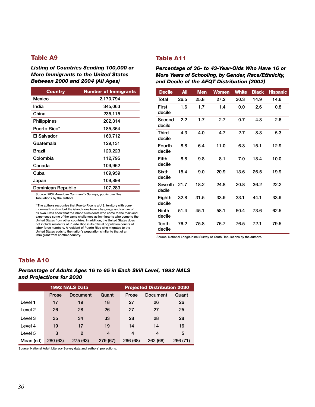*Listing of Countries Sending 100,000 or More Immigrants to the United States Between 2000 and 2004 (All Ages)*

| <b>Country</b>     | <b>Number of Immigrants</b> |
|--------------------|-----------------------------|
| Mexico             | 2,170,794                   |
| India              | 345,063                     |
| China              | 235,115                     |
| Philippines        | 202,314                     |
| Puerto Rico*       | 185,364                     |
| El Salvador        | 160,712                     |
| Guatemala          | 129,131                     |
| Brazil             | 120,223                     |
| Colombia           | 112,795                     |
| Canada             | 109,962                     |
| Cuba               | 109,939                     |
| Japan              | 109,898                     |
| Dominican Republic | 107,283                     |

Source: *2004 American Community Surveys,* public use files. Tabulations by the authors.

\* The authors recognize that Puerto Rico is a U.S. territory with commonwealth status, but the island does have a language and culture of its own. Data show that the island's residents who come to the mainland experience some of the same challenges as immigrants who come to the United States from other countries. In addition, the United States does not include residents of Puerto Rico in its official population counts of labor force numbers. A resident of Puerto Rico who migrates to the United States adds to the nation's population similar to that of an immigrant from another country.

# Table A11

*Percentage of 36- to 43-Year-Olds Who Have 16 or More Years of Schooling, by Gender, Race/Ethnicity, and Decile of the AFQT Distribution (2002)*

| <b>Decile</b>          | <b>All</b> | <b>Men</b> | <b>Women</b> | <b>White</b> | <b>Black</b> | <b>Hispanic</b> |
|------------------------|------------|------------|--------------|--------------|--------------|-----------------|
| Total                  | 26.5       | 25.8       | 27.2         | 30.3         | 14.9         | 14.6            |
| First<br>decile        | 1.6        | 1.7        | 1.4          | 0.0          | 2.6          | 0.8             |
| Second<br>decile       | 2.2        | 1.7        | 2.7          | 0.7          | 4.3          | 2.6             |
| Third<br>decile        | 4.3        | 4.0        | 4.7          | 2.7          | 8.3          | 5.3             |
| Fourth<br>decile       | 8.8        | 6.4        | 11.0         | 6.3          | 15.1         | 12.9            |
| Fifth<br>decile        | 8.8        | 9.8        | 8.1          | 7.0          | 18.4         | 10.0            |
| Sixth<br>decile        | 15.4       | 9.0        | 20.9         | 13.6         | 26.5         | 19.9            |
| Seventh<br>decile      | 21.7       | 18.2       | 24.8         | 20.8         | 36.2         | 22.2            |
| Eighth<br>decile       | 32.8       | 31.5       | 33.9         | 33.1         | 44.1         | 33.9            |
| <b>Ninth</b><br>decile | 51.4       | 45.1       | 58.1         | 50.4         | 73.6         | 62.5            |
| Tenth<br>decile        | 76.2       | 75.8       | 76.7         | 76.5         | 72.1         | 79.5            |

Source: National Longitudinal Survey of Youth. Tabulations by the authors.

# Table A10

#### *Percentage of Adults Ages 16 to 65 in Each Skill Level, 1992 NALS and Projections for 2030*

| <b>1992 NALS Data</b> |          |                |                | <b>Projected Distribution 2030</b> |          |          |
|-----------------------|----------|----------------|----------------|------------------------------------|----------|----------|
|                       | Prose    | Document       | Quant          | Prose                              | Document | Quant    |
| Level 1               | 17       | 19             | 18             | 27                                 | 26       | 26       |
| Level 2               | 26       | 28             | 26             | 27                                 | 27       | 25       |
| Level 3               | 35       | 34             | 33             | 28                                 | 28       | 28       |
| Level 4               | 19       | 17             | 19             | 14                                 | 14       | 16       |
| Level 5               | 3        | $\overline{2}$ | $\overline{4}$ | 4                                  | 4        | 5        |
| Mean (sd)             | 280 (63) | 275 (63)       | 279 (67)       | 266 (68)                           | 262 (68) | 266 (71) |

Source: National Adult Literacy Survey data and authors' projections.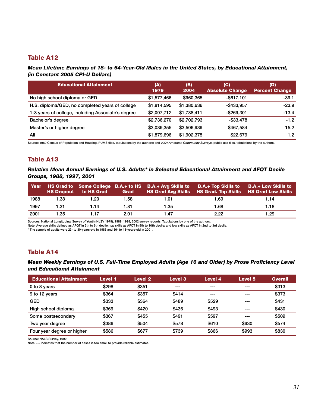#### *Mean Lifetime Earnings of 18- to 64-Year-Old Males in the United States, by Educational Attainment, (in Constant 2005 CPI-U Dollars)*

| <b>Educational Attainment</b>                      | (A)<br>1979 | (B)<br>2004 | (C)<br><b>Absolute Change</b> | (D)<br><b>Percent Change</b> |
|----------------------------------------------------|-------------|-------------|-------------------------------|------------------------------|
| No high school diploma or GED                      | \$1,577,466 | \$960,365   | $-$ \$617,101                 | $-39.1$                      |
| H.S. diploma/GED, no completed years of college    | \$1,814,595 | \$1,380,636 | $-$433,957$                   | $-23.9$                      |
| 1-3 years of college, including Associate's degree | \$2,007,712 | \$1,738,411 | $-$ \$269.301                 | $-13.4$                      |
| Bachelor's degree                                  | \$2,736,270 | \$2,702,793 | $-$ \$33.478                  | $-1.2$                       |
| Master's or higher degree                          | \$3,039,355 | \$3,506,939 | \$467,584                     | 15.2                         |
| All                                                | \$1,879,696 | \$1,902,375 | \$22,679                      | 1.2                          |

Source: 1980 Census of Population and Housing, PUMS files, tabulations by the authors; and *2004 American Community Surveys*, public use files, tabulations by the authors.

# Table A13

*Relative Mean Annual Earnings of U.S. Adults\* in Selected Educational Attainment and AFQT Decile Groups, 1988, 1997, 2001*

| Year |      | <b>HS Dropout</b> to HS Grad | Grad |      | HS Grad to Some College B.A.+ to HS B.A.+ Avg Skills to B.A.+ Top Skills to B.A.+ Low Skills to<br>HS Grad Avg Skills HS Grad. Top Skills HS Grad Low Skills |      |
|------|------|------------------------------|------|------|--------------------------------------------------------------------------------------------------------------------------------------------------------------|------|
| 1988 | 1.38 | 1.20                         | 1.58 | 1.01 | 1.69                                                                                                                                                         | 1.14 |
| 1997 | 1.31 | 1.14                         | 1.81 | 1.35 | 1.68                                                                                                                                                         | 1.18 |
| 2001 | 1.35 | 1.17                         | 2.01 | 1.47 | 2.22                                                                                                                                                         | 1.29 |

Sources: National Longitudinal Survey of Youth (NLSY 1979), 1989, 1998, 2002 survey records. Tabulations by one of the authors.

Note: Average skills defined as AFQT in 5th to 6th decile; top skills as AFQT in 9th to 10th decile; and low skills as AFQT in 2nd to 3rd decile.

\* The sample of adults were 23- to 30-years-old in 1988 and 36- to 43-years-old in 2001.

# Table A14

#### *Mean Weekly Earnings of U.S. Full-Time Employed Adults (Age 16 and Older) by Prose Proficiency Level and Educational Attainment*

| <b>Educational Attainment</b> | Level 1 | <b>Level 2</b> | Level 3 | Level 4 | Level 5 | <b>Overall</b> |
|-------------------------------|---------|----------------|---------|---------|---------|----------------|
| 0 to 8 years                  | \$298   | \$351          | $- - -$ | $- - -$ | ---     | \$313          |
| 9 to 12 years                 | \$364   | \$357          | \$414   | ---     | ---     | \$373          |
| <b>GED</b>                    | \$333   | \$364          | \$489   | \$529   | ---     | \$431          |
| High school diploma           | \$369   | \$420          | \$436   | \$493   | ---     | \$430          |
| Some postsecondary            | \$367   | \$455          | \$491   | \$597   | ---     | \$509          |
| Two year degree               | \$386   | \$504          | \$578   | \$610   | \$630   | \$574          |
| Four year degree or higher    | \$586   | \$677          | \$739   | \$866   | \$993   | \$830          |

Source: NALS Survey, 1992.

Note: --- Indicates that the number of cases is too small to provide reliable estimates.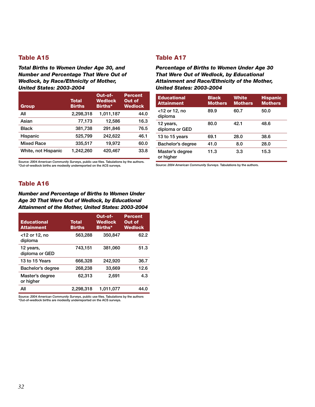*Total Births to Women Under Age 30, and Number and Percentage That Were Out of Wedlock, by Race/Ethnicity of Mother, United States: 2003-2004*

| <b>Group</b>        | <b>Total</b><br><b>Births</b> | Out-of-<br><b>Wedlock</b><br>Births* | <b>Percent</b><br>Out of<br><b>Wedlock</b> |
|---------------------|-------------------------------|--------------------------------------|--------------------------------------------|
| All                 | 2,298,318                     | 1,011,187                            | 44.0                                       |
| Asian               | 77,173                        | 12,586                               | 16.3                                       |
| <b>Black</b>        | 381,738                       | 291.846                              | 76.5                                       |
| Hispanic            | 525,799                       | 242,622                              | 46.1                                       |
| <b>Mixed Race</b>   | 335,517                       | 19,972                               | 60.0                                       |
| White, not Hispanic | 1,242,260                     | 420,467                              | 33.8                                       |

Source: *2004 American Community Surveys*, public use files. Tabulations by the authors. \*Out-of-wedlock births are modestly underreported on the ACS surveys.

# Table A17

*Percentage of Births to Women Under Age 30 That Were Out of Wedlock, by Educational Attainment and Race/Ethnicity of the Mother, United States: 2003-2004*

| <b>Educational</b><br><b>Attainment</b> | <b>Black</b><br><b>Mothers</b> | <b>White</b><br><b>Mothers</b> | <b>Hispanic</b><br><b>Mothers</b> |
|-----------------------------------------|--------------------------------|--------------------------------|-----------------------------------|
| $<$ 12 or 12, no<br>diploma             | 89.9                           | 60.7                           | 50.0                              |
| 12 years,<br>diploma or GED             | 80.0                           | 42.1                           | 48.6                              |
| 13 to 15 years                          | 69.1                           | 28.0                           | 38.6                              |
| Bachelor's degree                       | 41.0                           | 8.0                            | 28.0                              |
| Master's degree<br>or higher            | 11.3                           | 3.3                            | 15.3                              |

Source: *2004 American Community Surveys*. Tabulations by the authors.

# Table A16

*Number and Percentage of Births to Women Under Age 30 That Were Out of Wedlock, by Educational Attainment of the Mother, United States: 2003-2004*

| <b>Educational</b><br><b>Attainment</b> | <b>Total</b><br><b>Births</b> | Out-of-<br><b>Wedlock</b><br>Births* | <b>Percent</b><br>Out of<br><b>Wedlock</b> |
|-----------------------------------------|-------------------------------|--------------------------------------|--------------------------------------------|
| $<$ 12 or 12, no<br>diploma             | 563,288                       | 350,847                              | 62.2                                       |
| 12 years,<br>diploma or GED             | 743.151                       | 381.060                              | 51.3                                       |
| 13 to 15 Years                          | 666,328                       | 242.920                              | 36.7                                       |
| Bachelor's degree                       | 268,238                       | 33,669                               | 12.6                                       |
| Master's degree<br>or higher            | 62,313                        | 2.691                                | 4.3                                        |
| All                                     | 2,298,318                     | 1.011.077                            | 44.0                                       |

Source: *2004 American Community Surveys*, public use files. Tabulations by the authors \*Out-of-wedlock births are modestly underreported on the ACS surveys.